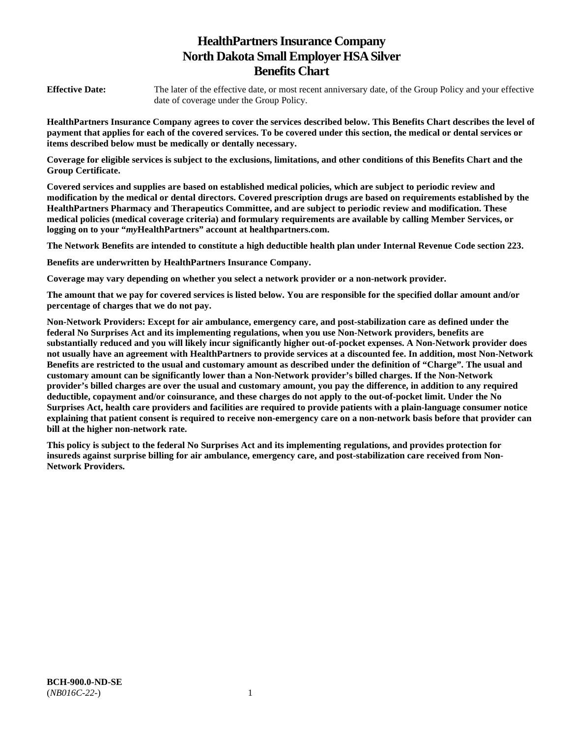# **HealthPartners Insurance Company North Dakota Small Employer HSA Silver Benefits Chart**

**Effective Date:** The later of the effective date, or most recent anniversary date, of the Group Policy and your effective date of coverage under the Group Policy.

**HealthPartners Insurance Company agrees to cover the services described below. This Benefits Chart describes the level of payment that applies for each of the covered services. To be covered under this section, the medical or dental services or items described below must be medically or dentally necessary.** 

**Coverage for eligible services is subject to the exclusions, limitations, and other conditions of this Benefits Chart and the Group Certificate.** 

**Covered services and supplies are based on established medical policies, which are subject to periodic review and modification by the medical or dental directors. Covered prescription drugs are based on requirements established by the HealthPartners Pharmacy and Therapeutics Committee, and are subject to periodic review and modification. These medical policies (medical coverage criteria) and formulary requirements are available by calling Member Services, or logging on to your "***my***HealthPartners" account at [healthpartners.com.](http://healthpartners.com/)** 

**The Network Benefits are intended to constitute a high deductible health plan under Internal Revenue Code section 223.**

**Benefits are underwritten by HealthPartners Insurance Company.** 

**Coverage may vary depending on whether you select a network provider or a non-network provider.** 

**The amount that we pay for covered services is listed below. You are responsible for the specified dollar amount and/or percentage of charges that we do not pay.** 

**Non-Network Providers: Except for air ambulance, emergency care, and post-stabilization care as defined under the federal No Surprises Act and its implementing regulations, when you use Non-Network providers, benefits are substantially reduced and you will likely incur significantly higher out-of-pocket expenses. A Non-Network provider does not usually have an agreement with HealthPartners to provide services at a discounted fee. In addition, most Non-Network Benefits are restricted to the usual and customary amount as described under the definition of "Charge". The usual and customary amount can be significantly lower than a Non-Network provider's billed charges. If the Non-Network provider's billed charges are over the usual and customary amount, you pay the difference, in addition to any required deductible, copayment and/or coinsurance, and these charges do not apply to the out-of-pocket limit. Under the No Surprises Act, health care providers and facilities are required to provide patients with a plain-language consumer notice explaining that patient consent is required to receive non-emergency care on a non-network basis before that provider can bill at the higher non-network rate.** 

**This policy is subject to the federal No Surprises Act and its implementing regulations, and provides protection for insureds against surprise billing for air ambulance, emergency care, and post-stabilization care received from Non-Network Providers.**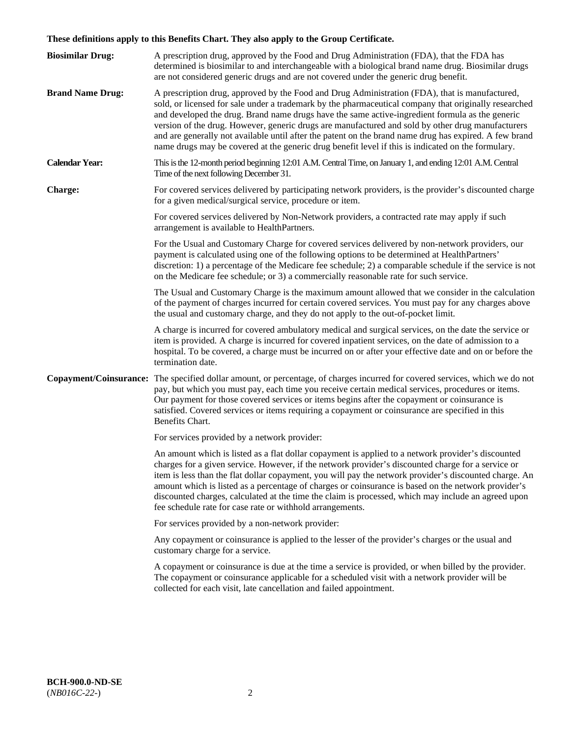# **These definitions apply to this Benefits Chart. They also apply to the Group Certificate.**

| <b>Biosimilar Drug:</b> | A prescription drug, approved by the Food and Drug Administration (FDA), that the FDA has<br>determined is biosimilar to and interchangeable with a biological brand name drug. Biosimilar drugs<br>are not considered generic drugs and are not covered under the generic drug benefit.                                                                                                                                                                                                                                                                                                                                        |
|-------------------------|---------------------------------------------------------------------------------------------------------------------------------------------------------------------------------------------------------------------------------------------------------------------------------------------------------------------------------------------------------------------------------------------------------------------------------------------------------------------------------------------------------------------------------------------------------------------------------------------------------------------------------|
| <b>Brand Name Drug:</b> | A prescription drug, approved by the Food and Drug Administration (FDA), that is manufactured,<br>sold, or licensed for sale under a trademark by the pharmaceutical company that originally researched<br>and developed the drug. Brand name drugs have the same active-ingredient formula as the generic<br>version of the drug. However, generic drugs are manufactured and sold by other drug manufacturers<br>and are generally not available until after the patent on the brand name drug has expired. A few brand<br>name drugs may be covered at the generic drug benefit level if this is indicated on the formulary. |
| <b>Calendar Year:</b>   | This is the 12-month period beginning 12:01 A.M. Central Time, on January 1, and ending 12:01 A.M. Central<br>Time of the next following December 31.                                                                                                                                                                                                                                                                                                                                                                                                                                                                           |
| <b>Charge:</b>          | For covered services delivered by participating network providers, is the provider's discounted charge<br>for a given medical/surgical service, procedure or item.                                                                                                                                                                                                                                                                                                                                                                                                                                                              |
|                         | For covered services delivered by Non-Network providers, a contracted rate may apply if such<br>arrangement is available to HealthPartners.                                                                                                                                                                                                                                                                                                                                                                                                                                                                                     |
|                         | For the Usual and Customary Charge for covered services delivered by non-network providers, our<br>payment is calculated using one of the following options to be determined at HealthPartners'<br>discretion: 1) a percentage of the Medicare fee schedule; 2) a comparable schedule if the service is not<br>on the Medicare fee schedule; or 3) a commercially reasonable rate for such service.                                                                                                                                                                                                                             |
|                         | The Usual and Customary Charge is the maximum amount allowed that we consider in the calculation<br>of the payment of charges incurred for certain covered services. You must pay for any charges above<br>the usual and customary charge, and they do not apply to the out-of-pocket limit.                                                                                                                                                                                                                                                                                                                                    |
|                         | A charge is incurred for covered ambulatory medical and surgical services, on the date the service or<br>item is provided. A charge is incurred for covered inpatient services, on the date of admission to a<br>hospital. To be covered, a charge must be incurred on or after your effective date and on or before the<br>termination date.                                                                                                                                                                                                                                                                                   |
|                         | Copayment/Coinsurance: The specified dollar amount, or percentage, of charges incurred for covered services, which we do not<br>pay, but which you must pay, each time you receive certain medical services, procedures or items.<br>Our payment for those covered services or items begins after the copayment or coinsurance is<br>satisfied. Covered services or items requiring a copayment or coinsurance are specified in this<br>Benefits Chart.                                                                                                                                                                         |
|                         | For services provided by a network provider:                                                                                                                                                                                                                                                                                                                                                                                                                                                                                                                                                                                    |
|                         | An amount which is listed as a flat dollar copayment is applied to a network provider's discounted<br>charges for a given service. However, if the network provider's discounted charge for a service or<br>item is less than the flat dollar copayment, you will pay the network provider's discounted charge. An<br>amount which is listed as a percentage of charges or coinsurance is based on the network provider's<br>discounted charges, calculated at the time the claim is processed, which may include an agreed upon<br>fee schedule rate for case rate or withhold arrangements.                                   |
|                         | For services provided by a non-network provider:                                                                                                                                                                                                                                                                                                                                                                                                                                                                                                                                                                                |
|                         | Any copayment or coinsurance is applied to the lesser of the provider's charges or the usual and<br>customary charge for a service.                                                                                                                                                                                                                                                                                                                                                                                                                                                                                             |
|                         | A copayment or coinsurance is due at the time a service is provided, or when billed by the provider.<br>The copayment or coinsurance applicable for a scheduled visit with a network provider will be<br>collected for each visit, late cancellation and failed appointment.                                                                                                                                                                                                                                                                                                                                                    |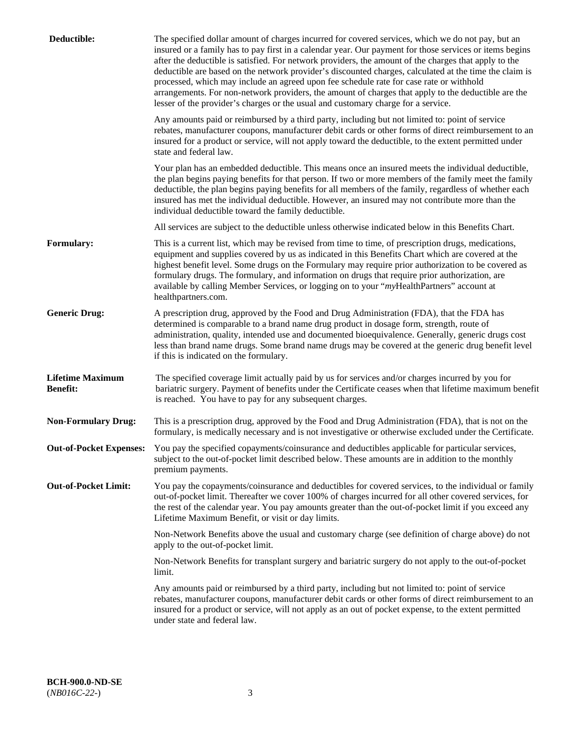| Deductible:                                | The specified dollar amount of charges incurred for covered services, which we do not pay, but an<br>insured or a family has to pay first in a calendar year. Our payment for those services or items begins<br>after the deductible is satisfied. For network providers, the amount of the charges that apply to the<br>deductible are based on the network provider's discounted charges, calculated at the time the claim is<br>processed, which may include an agreed upon fee schedule rate for case rate or withhold<br>arrangements. For non-network providers, the amount of charges that apply to the deductible are the<br>lesser of the provider's charges or the usual and customary charge for a service. |
|--------------------------------------------|------------------------------------------------------------------------------------------------------------------------------------------------------------------------------------------------------------------------------------------------------------------------------------------------------------------------------------------------------------------------------------------------------------------------------------------------------------------------------------------------------------------------------------------------------------------------------------------------------------------------------------------------------------------------------------------------------------------------|
|                                            | Any amounts paid or reimbursed by a third party, including but not limited to: point of service<br>rebates, manufacturer coupons, manufacturer debit cards or other forms of direct reimbursement to an<br>insured for a product or service, will not apply toward the deductible, to the extent permitted under<br>state and federal law.                                                                                                                                                                                                                                                                                                                                                                             |
|                                            | Your plan has an embedded deductible. This means once an insured meets the individual deductible,<br>the plan begins paying benefits for that person. If two or more members of the family meet the family<br>deductible, the plan begins paying benefits for all members of the family, regardless of whether each<br>insured has met the individual deductible. However, an insured may not contribute more than the<br>individual deductible toward the family deductible.                                                                                                                                                                                                                                          |
|                                            | All services are subject to the deductible unless otherwise indicated below in this Benefits Chart.                                                                                                                                                                                                                                                                                                                                                                                                                                                                                                                                                                                                                    |
| <b>Formulary:</b>                          | This is a current list, which may be revised from time to time, of prescription drugs, medications,<br>equipment and supplies covered by us as indicated in this Benefits Chart which are covered at the<br>highest benefit level. Some drugs on the Formulary may require prior authorization to be covered as<br>formulary drugs. The formulary, and information on drugs that require prior authorization, are<br>available by calling Member Services, or logging on to your "myHealthPartners" account at<br>healthpartners.com.                                                                                                                                                                                  |
| <b>Generic Drug:</b>                       | A prescription drug, approved by the Food and Drug Administration (FDA), that the FDA has<br>determined is comparable to a brand name drug product in dosage form, strength, route of<br>administration, quality, intended use and documented bioequivalence. Generally, generic drugs cost<br>less than brand name drugs. Some brand name drugs may be covered at the generic drug benefit level<br>if this is indicated on the formulary.                                                                                                                                                                                                                                                                            |
| <b>Lifetime Maximum</b><br><b>Benefit:</b> | The specified coverage limit actually paid by us for services and/or charges incurred by you for<br>bariatric surgery. Payment of benefits under the Certificate ceases when that lifetime maximum benefit<br>is reached. You have to pay for any subsequent charges.                                                                                                                                                                                                                                                                                                                                                                                                                                                  |
| <b>Non-Formulary Drug:</b>                 | This is a prescription drug, approved by the Food and Drug Administration (FDA), that is not on the<br>formulary, is medically necessary and is not investigative or otherwise excluded under the Certificate.                                                                                                                                                                                                                                                                                                                                                                                                                                                                                                         |
|                                            | Out-of-Pocket Expenses: You pay the specified copayments/coinsurance and deductibles applicable for particular services,<br>subject to the out-of-pocket limit described below. These amounts are in addition to the monthly<br>premium payments.                                                                                                                                                                                                                                                                                                                                                                                                                                                                      |
| <b>Out-of-Pocket Limit:</b>                | You pay the copayments/coinsurance and deductibles for covered services, to the individual or family<br>out-of-pocket limit. Thereafter we cover 100% of charges incurred for all other covered services, for<br>the rest of the calendar year. You pay amounts greater than the out-of-pocket limit if you exceed any<br>Lifetime Maximum Benefit, or visit or day limits.                                                                                                                                                                                                                                                                                                                                            |
|                                            | Non-Network Benefits above the usual and customary charge (see definition of charge above) do not<br>apply to the out-of-pocket limit.                                                                                                                                                                                                                                                                                                                                                                                                                                                                                                                                                                                 |
|                                            | Non-Network Benefits for transplant surgery and bariatric surgery do not apply to the out-of-pocket<br>limit.                                                                                                                                                                                                                                                                                                                                                                                                                                                                                                                                                                                                          |
|                                            | Any amounts paid or reimbursed by a third party, including but not limited to: point of service<br>rebates, manufacturer coupons, manufacturer debit cards or other forms of direct reimbursement to an<br>insured for a product or service, will not apply as an out of pocket expense, to the extent permitted<br>under state and federal law.                                                                                                                                                                                                                                                                                                                                                                       |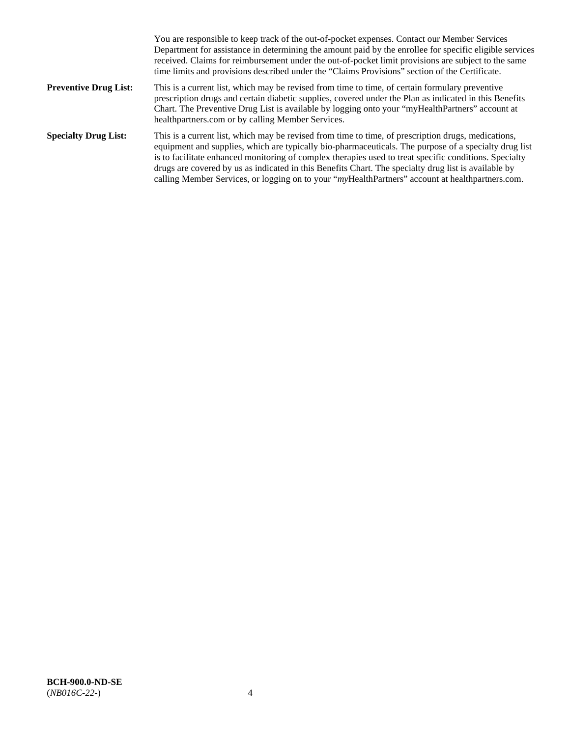|                              | You are responsible to keep track of the out-of-pocket expenses. Contact our Member Services<br>Department for assistance in determining the amount paid by the enrollee for specific eligible services<br>received. Claims for reimbursement under the out-of-pocket limit provisions are subject to the same<br>time limits and provisions described under the "Claims Provisions" section of the Certificate.                                                                                                                   |
|------------------------------|------------------------------------------------------------------------------------------------------------------------------------------------------------------------------------------------------------------------------------------------------------------------------------------------------------------------------------------------------------------------------------------------------------------------------------------------------------------------------------------------------------------------------------|
| <b>Preventive Drug List:</b> | This is a current list, which may be revised from time to time, of certain formulary preventive<br>prescription drugs and certain diabetic supplies, covered under the Plan as indicated in this Benefits<br>Chart. The Preventive Drug List is available by logging onto your "myHealthPartners" account at<br>healthpartners.com or by calling Member Services.                                                                                                                                                                  |
| <b>Specialty Drug List:</b>  | This is a current list, which may be revised from time to time, of prescription drugs, medications,<br>equipment and supplies, which are typically bio-pharmaceuticals. The purpose of a specialty drug list<br>is to facilitate enhanced monitoring of complex therapies used to treat specific conditions. Specialty<br>drugs are covered by us as indicated in this Benefits Chart. The specialty drug list is available by<br>calling Member Services, or logging on to your "myHealthPartners" account at healthpartners.com. |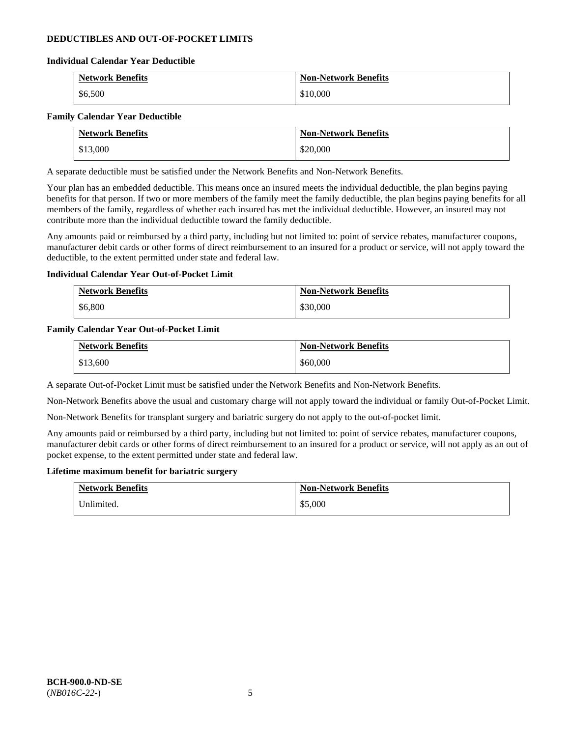# **DEDUCTIBLES AND OUT-OF-POCKET LIMITS**

### **Individual Calendar Year Deductible**

| <b>Network Benefits</b> | <b>Non-Network Benefits</b> |
|-------------------------|-----------------------------|
| \$6,500                 | \$10,000                    |

### **Family Calendar Year Deductible**

| <b>Network Benefits</b> | <b>Non-Network Benefits</b> |
|-------------------------|-----------------------------|
| \$13,000                | \$20,000                    |

A separate deductible must be satisfied under the Network Benefits and Non-Network Benefits.

Your plan has an embedded deductible. This means once an insured meets the individual deductible, the plan begins paying benefits for that person. If two or more members of the family meet the family deductible, the plan begins paying benefits for all members of the family, regardless of whether each insured has met the individual deductible. However, an insured may not contribute more than the individual deductible toward the family deductible.

Any amounts paid or reimbursed by a third party, including but not limited to: point of service rebates, manufacturer coupons, manufacturer debit cards or other forms of direct reimbursement to an insured for a product or service, will not apply toward the deductible, to the extent permitted under state and federal law.

### **Individual Calendar Year Out-of-Pocket Limit**

| <b>Network Benefits</b> | <b>Non-Network Benefits</b> |
|-------------------------|-----------------------------|
| \$6,800                 | \$30,000                    |

### **Family Calendar Year Out-of-Pocket Limit**

| <b>Network Benefits</b> | <b>Non-Network Benefits</b> |
|-------------------------|-----------------------------|
| \$13,600                | \$60,000                    |

A separate Out-of-Pocket Limit must be satisfied under the Network Benefits and Non-Network Benefits.

Non-Network Benefits above the usual and customary charge will not apply toward the individual or family Out-of-Pocket Limit.

Non-Network Benefits for transplant surgery and bariatric surgery do not apply to the out-of-pocket limit.

Any amounts paid or reimbursed by a third party, including but not limited to: point of service rebates, manufacturer coupons, manufacturer debit cards or other forms of direct reimbursement to an insured for a product or service, will not apply as an out of pocket expense, to the extent permitted under state and federal law.

#### **Lifetime maximum benefit for bariatric surgery**

| <b>Network Benefits</b> | <b>Non-Network Benefits</b> |
|-------------------------|-----------------------------|
| Unlimited.              | \$5,000                     |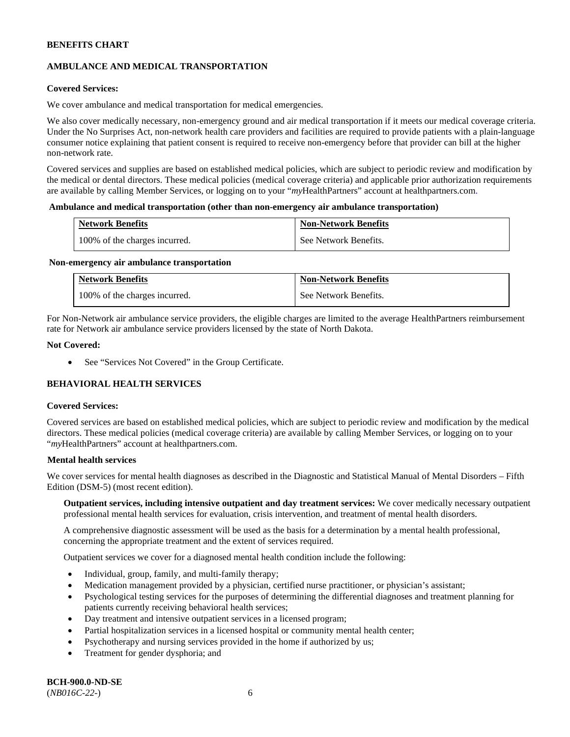# **AMBULANCE AND MEDICAL TRANSPORTATION**

# **Covered Services:**

We cover ambulance and medical transportation for medical emergencies.

We also cover medically necessary, non-emergency ground and air medical transportation if it meets our medical coverage criteria. Under the No Surprises Act, non-network health care providers and facilities are required to provide patients with a plain-language consumer notice explaining that patient consent is required to receive non-emergency before that provider can bill at the higher non-network rate.

Covered services and supplies are based on established medical policies, which are subject to periodic review and modification by the medical or dental directors. These medical policies (medical coverage criteria) and applicable prior authorization requirements are available by calling Member Services, or logging on to your "*my*HealthPartners" account a[t healthpartners.com.](http://www.healthpartners.com/)

#### **Ambulance and medical transportation (other than non-emergency air ambulance transportation)**

| <b>Network Benefits</b>       | <b>Non-Network Benefits</b> |
|-------------------------------|-----------------------------|
| 100% of the charges incurred. | See Network Benefits.       |

#### **Non-emergency air ambulance transportation**

| <b>Network Benefits</b>       | <b>Non-Network Benefits</b> |
|-------------------------------|-----------------------------|
| 100% of the charges incurred. | See Network Benefits.       |

For Non-Network air ambulance service providers, the eligible charges are limited to the average HealthPartners reimbursement rate for Network air ambulance service providers licensed by the state of North Dakota.

### **Not Covered:**

• See "Services Not Covered" in the Group Certificate.

# **BEHAVIORAL HEALTH SERVICES**

#### **Covered Services:**

Covered services are based on established medical policies, which are subject to periodic review and modification by the medical directors. These medical policies (medical coverage criteria) are available by calling Member Services, or logging on to your "*my*HealthPartners" account at [healthpartners.com.](http://healthpartners.com/)

# **Mental health services**

We cover services for mental health diagnoses as described in the Diagnostic and Statistical Manual of Mental Disorders – Fifth Edition (DSM-5) (most recent edition).

**Outpatient services, including intensive outpatient and day treatment services:** We cover medically necessary outpatient professional mental health services for evaluation, crisis intervention, and treatment of mental health disorders.

A comprehensive diagnostic assessment will be used as the basis for a determination by a mental health professional, concerning the appropriate treatment and the extent of services required.

Outpatient services we cover for a diagnosed mental health condition include the following:

- Individual, group, family, and multi-family therapy;
- Medication management provided by a physician, certified nurse practitioner, or physician's assistant;
- Psychological testing services for the purposes of determining the differential diagnoses and treatment planning for patients currently receiving behavioral health services;
- Day treatment and intensive outpatient services in a licensed program;
- Partial hospitalization services in a licensed hospital or community mental health center;
- Psychotherapy and nursing services provided in the home if authorized by us;
- Treatment for gender dysphoria; and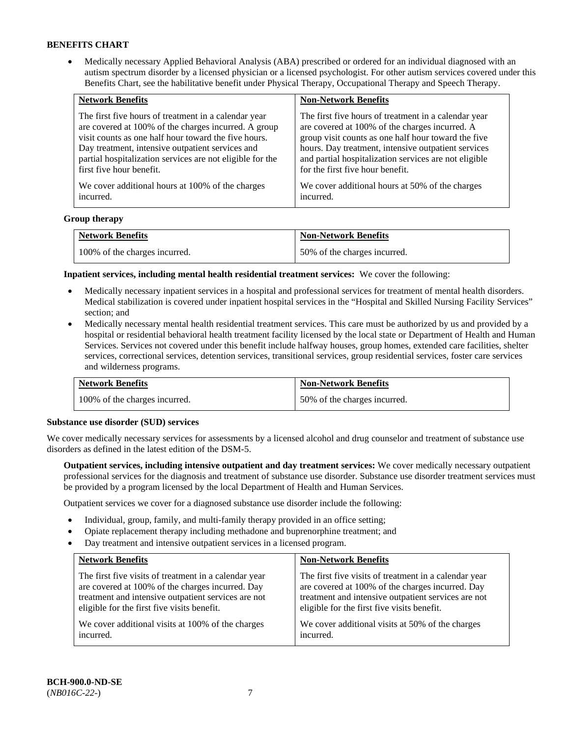• Medically necessary Applied Behavioral Analysis (ABA) prescribed or ordered for an individual diagnosed with an autism spectrum disorder by a licensed physician or a licensed psychologist. For other autism services covered under this Benefits Chart, see the habilitative benefit under Physical Therapy, Occupational Therapy and Speech Therapy.

| <b>Network Benefits</b>                                   | <b>Non-Network Benefits</b>                           |
|-----------------------------------------------------------|-------------------------------------------------------|
| The first five hours of treatment in a calendar year      | The first five hours of treatment in a calendar year  |
| are covered at 100% of the charges incurred. A group      | are covered at 100% of the charges incurred. A        |
| visit counts as one half hour toward the five hours.      | group visit counts as one half hour toward the five   |
| Day treatment, intensive outpatient services and          | hours. Day treatment, intensive outpatient services   |
| partial hospitalization services are not eligible for the | and partial hospitalization services are not eligible |
| first five hour benefit.                                  | for the first five hour benefit.                      |
| We cover additional hours at 100% of the charges          | We cover additional hours at 50% of the charges       |
| incurred.                                                 | incurred.                                             |

### **Group therapy**

| <b>Network Benefits</b>       | <b>Non-Network Benefits</b>  |
|-------------------------------|------------------------------|
| 100% of the charges incurred. | 50% of the charges incurred. |

**Inpatient services, including mental health residential treatment services:** We cover the following:

- Medically necessary inpatient services in a hospital and professional services for treatment of mental health disorders. Medical stabilization is covered under inpatient hospital services in the "Hospital and Skilled Nursing Facility Services" section; and
- Medically necessary mental health residential treatment services. This care must be authorized by us and provided by a hospital or residential behavioral health treatment facility licensed by the local state or Department of Health and Human Services. Services not covered under this benefit include halfway houses, group homes, extended care facilities, shelter services, correctional services, detention services, transitional services, group residential services, foster care services and wilderness programs.

| <b>Network Benefits</b>       | <b>Non-Network Benefits</b>  |
|-------------------------------|------------------------------|
| 100% of the charges incurred. | 50% of the charges incurred. |

#### **Substance use disorder (SUD) services**

We cover medically necessary services for assessments by a licensed alcohol and drug counselor and treatment of substance use disorders as defined in the latest edition of the DSM-5.

**Outpatient services, including intensive outpatient and day treatment services:** We cover medically necessary outpatient professional services for the diagnosis and treatment of substance use disorder. Substance use disorder treatment services must be provided by a program licensed by the local Department of Health and Human Services.

Outpatient services we cover for a diagnosed substance use disorder include the following:

- Individual, group, family, and multi-family therapy provided in an office setting;
- Opiate replacement therapy including methadone and buprenorphine treatment; and
- Day treatment and intensive outpatient services in a licensed program.

| <b>Network Benefits</b>                               | <b>Non-Network Benefits</b>                           |
|-------------------------------------------------------|-------------------------------------------------------|
| The first five visits of treatment in a calendar year | The first five visits of treatment in a calendar year |
| are covered at 100% of the charges incurred. Day      | are covered at 100% of the charges incurred. Day      |
| treatment and intensive outpatient services are not   | treatment and intensive outpatient services are not   |
| eligible for the first five visits benefit.           | eligible for the first five visits benefit.           |
| We cover additional visits at 100% of the charges     | We cover additional visits at 50% of the charges      |
| incurred.                                             | incurred.                                             |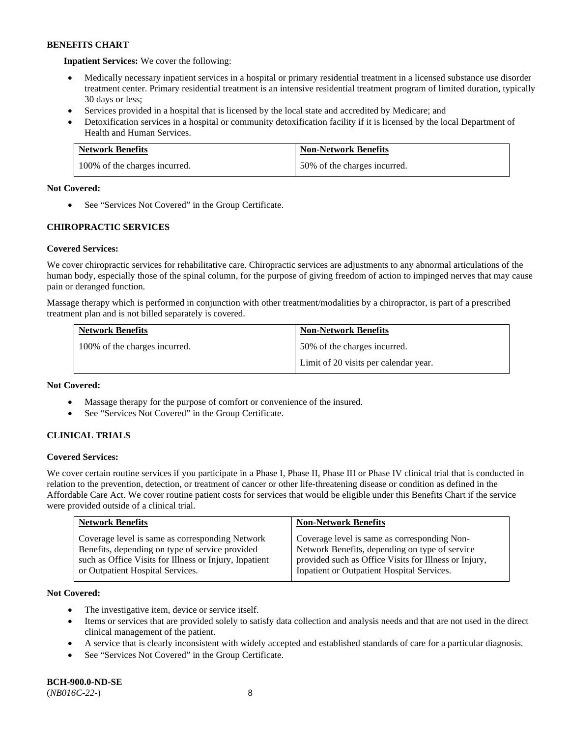**Inpatient Services:** We cover the following:

- Medically necessary inpatient services in a hospital or primary residential treatment in a licensed substance use disorder treatment center. Primary residential treatment is an intensive residential treatment program of limited duration, typically 30 days or less;
- Services provided in a hospital that is licensed by the local state and accredited by Medicare; and
- Detoxification services in a hospital or community detoxification facility if it is licensed by the local Department of Health and Human Services.

| <b>Network Benefits</b>       | <b>Non-Network Benefits</b>  |
|-------------------------------|------------------------------|
| 100% of the charges incurred. | 50% of the charges incurred. |

# **Not Covered:**

• See "Services Not Covered" in the Group Certificate.

# **CHIROPRACTIC SERVICES**

# **Covered Services:**

We cover chiropractic services for rehabilitative care. Chiropractic services are adjustments to any abnormal articulations of the human body, especially those of the spinal column, for the purpose of giving freedom of action to impinged nerves that may cause pain or deranged function.

Massage therapy which is performed in conjunction with other treatment/modalities by a chiropractor, is part of a prescribed treatment plan and is not billed separately is covered.

| <b>Network Benefits</b>       | <b>Non-Network Benefits</b>           |
|-------------------------------|---------------------------------------|
| 100% of the charges incurred. | 50% of the charges incurred.          |
|                               | Limit of 20 visits per calendar year. |

#### **Not Covered:**

- Massage therapy for the purpose of comfort or convenience of the insured.
- See "Services Not Covered" in the Group Certificate.

# **CLINICAL TRIALS**

# **Covered Services:**

We cover certain routine services if you participate in a Phase I, Phase II, Phase III or Phase IV clinical trial that is conducted in relation to the prevention, detection, or treatment of cancer or other life-threatening disease or condition as defined in the Affordable Care Act. We cover routine patient costs for services that would be eligible under this Benefits Chart if the service were provided outside of a clinical trial.

| <b>Network Benefits</b>                                                                                                                                                                          | <b>Non-Network Benefits</b>                                                                                                                                                                           |
|--------------------------------------------------------------------------------------------------------------------------------------------------------------------------------------------------|-------------------------------------------------------------------------------------------------------------------------------------------------------------------------------------------------------|
| Coverage level is same as corresponding Network<br>Benefits, depending on type of service provided<br>such as Office Visits for Illness or Injury, Inpatient<br>or Outpatient Hospital Services. | Coverage level is same as corresponding Non-<br>Network Benefits, depending on type of service<br>provided such as Office Visits for Illness or Injury,<br>Inpatient or Outpatient Hospital Services. |

# **Not Covered:**

- The investigative item, device or service itself.
- Items or services that are provided solely to satisfy data collection and analysis needs and that are not used in the direct clinical management of the patient.
- A service that is clearly inconsistent with widely accepted and established standards of care for a particular diagnosis.
- See "Services Not Covered" in the Group Certificate.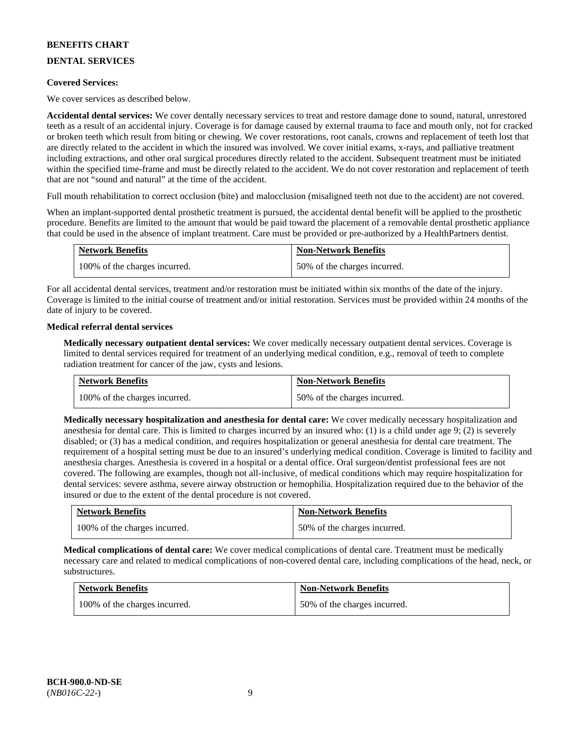# **DENTAL SERVICES**

### **Covered Services:**

We cover services as described below.

**Accidental dental services:** We cover dentally necessary services to treat and restore damage done to sound, natural, unrestored teeth as a result of an accidental injury. Coverage is for damage caused by external trauma to face and mouth only, not for cracked or broken teeth which result from biting or chewing. We cover restorations, root canals, crowns and replacement of teeth lost that are directly related to the accident in which the insured was involved. We cover initial exams, x-rays, and palliative treatment including extractions, and other oral surgical procedures directly related to the accident. Subsequent treatment must be initiated within the specified time-frame and must be directly related to the accident. We do not cover restoration and replacement of teeth that are not "sound and natural" at the time of the accident.

Full mouth rehabilitation to correct occlusion (bite) and malocclusion (misaligned teeth not due to the accident) are not covered.

When an implant-supported dental prosthetic treatment is pursued, the accidental dental benefit will be applied to the prosthetic procedure. Benefits are limited to the amount that would be paid toward the placement of a removable dental prosthetic appliance that could be used in the absence of implant treatment. Care must be provided or pre-authorized by a HealthPartners dentist.

| <b>Network Benefits</b>       | <b>Non-Network Benefits</b>  |
|-------------------------------|------------------------------|
| 100% of the charges incurred. | 50% of the charges incurred. |

For all accidental dental services, treatment and/or restoration must be initiated within six months of the date of the injury. Coverage is limited to the initial course of treatment and/or initial restoration. Services must be provided within 24 months of the date of injury to be covered.

### **Medical referral dental services**

**Medically necessary outpatient dental services:** We cover medically necessary outpatient dental services. Coverage is limited to dental services required for treatment of an underlying medical condition, e.g., removal of teeth to complete radiation treatment for cancer of the jaw, cysts and lesions.

| <b>Network Benefits</b>       | <b>Non-Network Benefits</b>  |
|-------------------------------|------------------------------|
| 100% of the charges incurred. | 50% of the charges incurred. |

**Medically necessary hospitalization and anesthesia for dental care:** We cover medically necessary hospitalization and anesthesia for dental care. This is limited to charges incurred by an insured who: (1) is a child under age 9; (2) is severely disabled; or (3) has a medical condition, and requires hospitalization or general anesthesia for dental care treatment. The requirement of a hospital setting must be due to an insured's underlying medical condition. Coverage is limited to facility and anesthesia charges. Anesthesia is covered in a hospital or a dental office. Oral surgeon/dentist professional fees are not covered. The following are examples, though not all-inclusive, of medical conditions which may require hospitalization for dental services: severe asthma, severe airway obstruction or hemophilia. Hospitalization required due to the behavior of the insured or due to the extent of the dental procedure is not covered.

| <b>Network Benefits</b>       | <b>Non-Network Benefits</b>  |
|-------------------------------|------------------------------|
| 100% of the charges incurred. | 50% of the charges incurred. |

**Medical complications of dental care:** We cover medical complications of dental care. Treatment must be medically necessary care and related to medical complications of non-covered dental care, including complications of the head, neck, or substructures.

| <b>Network Benefits</b>       | <b>Non-Network Benefits</b>  |
|-------------------------------|------------------------------|
| 100% of the charges incurred. | 50% of the charges incurred. |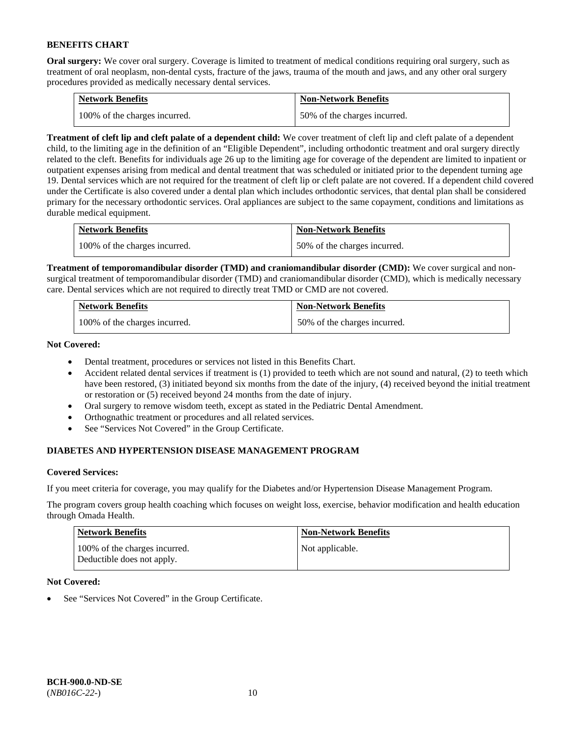**Oral surgery:** We cover oral surgery. Coverage is limited to treatment of medical conditions requiring oral surgery, such as treatment of oral neoplasm, non-dental cysts, fracture of the jaws, trauma of the mouth and jaws, and any other oral surgery procedures provided as medically necessary dental services.

| <b>Network Benefits</b>       | <b>Non-Network Benefits</b>  |
|-------------------------------|------------------------------|
| 100% of the charges incurred. | 50% of the charges incurred. |

**Treatment of cleft lip and cleft palate of a dependent child:** We cover treatment of cleft lip and cleft palate of a dependent child, to the limiting age in the definition of an "Eligible Dependent", including orthodontic treatment and oral surgery directly related to the cleft. Benefits for individuals age 26 up to the limiting age for coverage of the dependent are limited to inpatient or outpatient expenses arising from medical and dental treatment that was scheduled or initiated prior to the dependent turning age 19. Dental services which are not required for the treatment of cleft lip or cleft palate are not covered. If a dependent child covered under the Certificate is also covered under a dental plan which includes orthodontic services, that dental plan shall be considered primary for the necessary orthodontic services. Oral appliances are subject to the same copayment, conditions and limitations as durable medical equipment.

| <b>Network Benefits</b>       | <b>Non-Network Benefits</b>  |
|-------------------------------|------------------------------|
| 100% of the charges incurred. | 50% of the charges incurred. |

**Treatment of temporomandibular disorder (TMD) and craniomandibular disorder (CMD):** We cover surgical and nonsurgical treatment of temporomandibular disorder (TMD) and craniomandibular disorder (CMD), which is medically necessary care. Dental services which are not required to directly treat TMD or CMD are not covered.

| <b>Network Benefits</b>       | <b>Non-Network Benefits</b>  |
|-------------------------------|------------------------------|
| 100% of the charges incurred. | 50% of the charges incurred. |

**Not Covered:** 

- Dental treatment, procedures or services not listed in this Benefits Chart.
- Accident related dental services if treatment is (1) provided to teeth which are not sound and natural, (2) to teeth which have been restored, (3) initiated beyond six months from the date of the injury, (4) received beyond the initial treatment or restoration or (5) received beyond 24 months from the date of injury.
- Oral surgery to remove wisdom teeth, except as stated in the Pediatric Dental Amendment.
- Orthognathic treatment or procedures and all related services.
- See "Services Not Covered" in the Group Certificate.

# **DIABETES AND HYPERTENSION DISEASE MANAGEMENT PROGRAM**

# **Covered Services:**

If you meet criteria for coverage, you may qualify for the Diabetes and/or Hypertension Disease Management Program.

The program covers group health coaching which focuses on weight loss, exercise, behavior modification and health education through Omada Health.

| <b>Network Benefits</b>                                     | <b>Non-Network Benefits</b> |
|-------------------------------------------------------------|-----------------------------|
| 100% of the charges incurred.<br>Deductible does not apply. | Not applicable.             |

# **Not Covered:**

See "Services Not Covered" in the Group Certificate.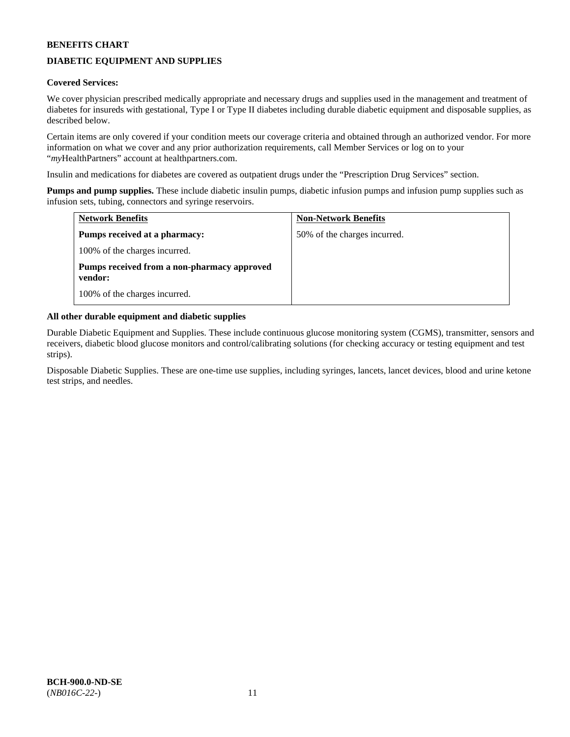# **DIABETIC EQUIPMENT AND SUPPLIES**

# **Covered Services:**

We cover physician prescribed medically appropriate and necessary drugs and supplies used in the management and treatment of diabetes for insureds with gestational, Type I or Type II diabetes including durable diabetic equipment and disposable supplies, as described below.

Certain items are only covered if your condition meets our coverage criteria and obtained through an authorized vendor. For more information on what we cover and any prior authorization requirements, call Member Services or log on to your "*my*HealthPartners" account at [healthpartners.com.](http://www.healthpartners.com/)

Insulin and medications for diabetes are covered as outpatient drugs under the "Prescription Drug Services" section.

**Pumps and pump supplies.** These include diabetic insulin pumps, diabetic infusion pumps and infusion pump supplies such as infusion sets, tubing, connectors and syringe reservoirs.

| <b>Network Benefits</b>                                | <b>Non-Network Benefits</b>  |
|--------------------------------------------------------|------------------------------|
| <b>Pumps received at a pharmacy:</b>                   | 50% of the charges incurred. |
| 100% of the charges incurred.                          |                              |
| Pumps received from a non-pharmacy approved<br>vendor: |                              |
| 100% of the charges incurred.                          |                              |

# **All other durable equipment and diabetic supplies**

Durable Diabetic Equipment and Supplies. These include continuous glucose monitoring system (CGMS), transmitter, sensors and receivers, diabetic blood glucose monitors and control/calibrating solutions (for checking accuracy or testing equipment and test strips).

Disposable Diabetic Supplies. These are one-time use supplies, including syringes, lancets, lancet devices, blood and urine ketone test strips, and needles.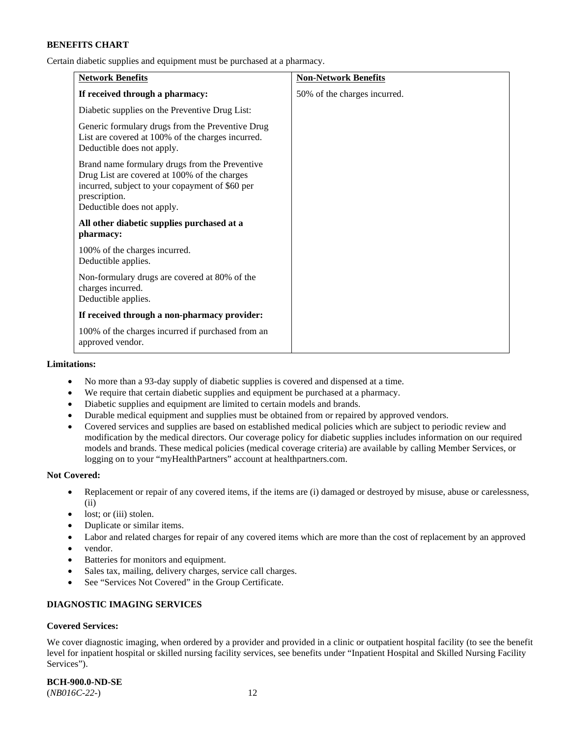Certain diabetic supplies and equipment must be purchased at a pharmacy.

| <b>Network Benefits</b>                                                                                                                                                                          | <b>Non-Network Benefits</b>  |
|--------------------------------------------------------------------------------------------------------------------------------------------------------------------------------------------------|------------------------------|
| If received through a pharmacy:                                                                                                                                                                  | 50% of the charges incurred. |
| Diabetic supplies on the Preventive Drug List:                                                                                                                                                   |                              |
| Generic formulary drugs from the Preventive Drug<br>List are covered at 100% of the charges incurred.<br>Deductible does not apply.                                                              |                              |
| Brand name formulary drugs from the Preventive<br>Drug List are covered at 100% of the charges<br>incurred, subject to your copayment of \$60 per<br>prescription.<br>Deductible does not apply. |                              |
| All other diabetic supplies purchased at a<br>pharmacy:                                                                                                                                          |                              |
| 100% of the charges incurred.<br>Deductible applies.                                                                                                                                             |                              |
| Non-formulary drugs are covered at 80% of the<br>charges incurred.<br>Deductible applies.                                                                                                        |                              |
| If received through a non-pharmacy provider:                                                                                                                                                     |                              |
| 100% of the charges incurred if purchased from an<br>approved vendor.                                                                                                                            |                              |

#### **Limitations:**

- No more than a 93-day supply of diabetic supplies is covered and dispensed at a time.
- We require that certain diabetic supplies and equipment be purchased at a pharmacy.
- Diabetic supplies and equipment are limited to certain models and brands.
- Durable medical equipment and supplies must be obtained from or repaired by approved vendors.
- Covered services and supplies are based on established medical policies which are subject to periodic review and modification by the medical directors. Our coverage policy for diabetic supplies includes information on our required models and brands. These medical policies (medical coverage criteria) are available by calling Member Services, or logging on to your "myHealthPartners" account a[t healthpartners.com.](http://www.healthpartners.com/)

### **Not Covered:**

- Replacement or repair of any covered items, if the items are (i) damaged or destroyed by misuse, abuse or carelessness, (ii)
- lost; or (iii) stolen.
- Duplicate or similar items.
- Labor and related charges for repair of any covered items which are more than the cost of replacement by an approved
- vendor.
- Batteries for monitors and equipment.
- Sales tax, mailing, delivery charges, service call charges.
- See "Services Not Covered" in the Group Certificate.

# **DIAGNOSTIC IMAGING SERVICES**

# **Covered Services:**

We cover diagnostic imaging, when ordered by a provider and provided in a clinic or outpatient hospital facility (to see the benefit level for inpatient hospital or skilled nursing facility services, see benefits under "Inpatient Hospital and Skilled Nursing Facility Services").

**BCH-900.0-ND-SE**

(*NB016C-22-*) 12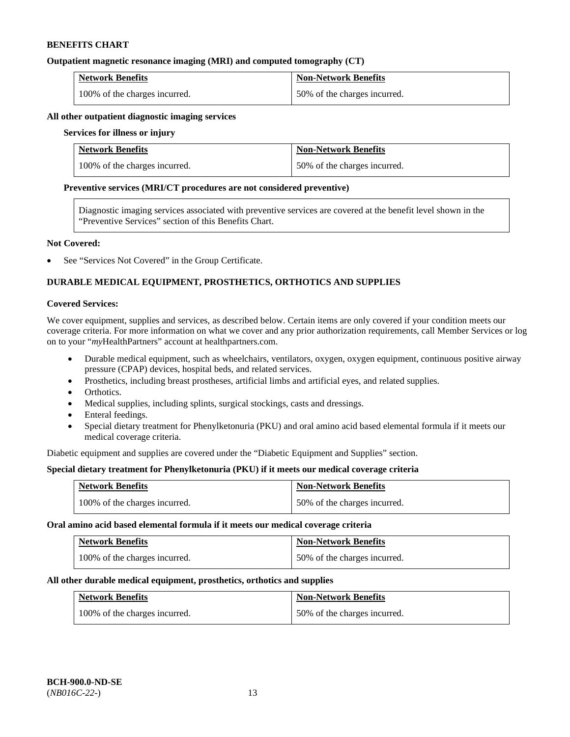### **Outpatient magnetic resonance imaging (MRI) and computed tomography (CT)**

| <b>Network Benefits</b>       | <b>Non-Network Benefits</b>  |
|-------------------------------|------------------------------|
| 100% of the charges incurred. | 50% of the charges incurred. |

### **All other outpatient diagnostic imaging services**

#### **Services for illness or injury**

| <b>Network Benefits</b>       | <b>Non-Network Benefits</b>  |
|-------------------------------|------------------------------|
| 100% of the charges incurred. | 50% of the charges incurred. |

#### **Preventive services (MRI/CT procedures are not considered preventive)**

Diagnostic imaging services associated with preventive services are covered at the benefit level shown in the "Preventive Services" section of this Benefits Chart.

### **Not Covered:**

See "Services Not Covered" in the Group Certificate.

# **DURABLE MEDICAL EQUIPMENT, PROSTHETICS, ORTHOTICS AND SUPPLIES**

#### **Covered Services:**

We cover equipment, supplies and services, as described below. Certain items are only covered if your condition meets our coverage criteria. For more information on what we cover and any prior authorization requirements, call Member Services or log on to your "*my*HealthPartners" account at [healthpartners.com.](http://www.healthpartners.com/)

- Durable medical equipment, such as wheelchairs, ventilators, oxygen, oxygen equipment, continuous positive airway pressure (CPAP) devices, hospital beds, and related services.
- Prosthetics, including breast prostheses, artificial limbs and artificial eyes, and related supplies.
- Orthotics.
- Medical supplies, including splints, surgical stockings, casts and dressings.
- Enteral feedings.
- Special dietary treatment for Phenylketonuria (PKU) and oral amino acid based elemental formula if it meets our medical coverage criteria.

Diabetic equipment and supplies are covered under the "Diabetic Equipment and Supplies" section.

# **Special dietary treatment for Phenylketonuria (PKU) if it meets our medical coverage criteria**

| <b>Network Benefits</b>       | <b>Non-Network Benefits</b>  |
|-------------------------------|------------------------------|
| 100% of the charges incurred. | 50% of the charges incurred. |

#### **Oral amino acid based elemental formula if it meets our medical coverage criteria**

| <b>Network Benefits</b>       | <b>Non-Network Benefits</b>  |
|-------------------------------|------------------------------|
| 100% of the charges incurred. | 50% of the charges incurred. |

#### **All other durable medical equipment, prosthetics, orthotics and supplies**

| <b>Network Benefits</b>       | <b>Non-Network Benefits</b>  |
|-------------------------------|------------------------------|
| 100% of the charges incurred. | 50% of the charges incurred. |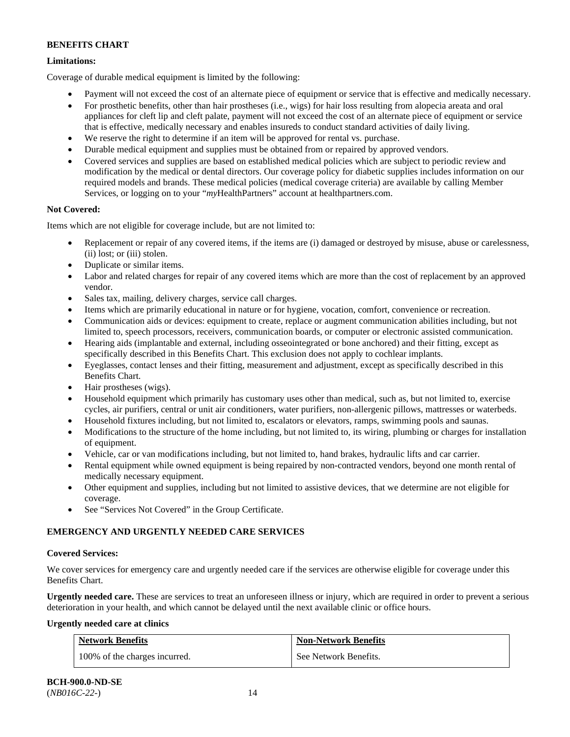# **Limitations:**

Coverage of durable medical equipment is limited by the following:

- Payment will not exceed the cost of an alternate piece of equipment or service that is effective and medically necessary.
- For prosthetic benefits, other than hair prostheses (i.e., wigs) for hair loss resulting from alopecia areata and oral appliances for cleft lip and cleft palate, payment will not exceed the cost of an alternate piece of equipment or service that is effective, medically necessary and enables insureds to conduct standard activities of daily living.
- We reserve the right to determine if an item will be approved for rental vs. purchase.
- Durable medical equipment and supplies must be obtained from or repaired by approved vendors.
- Covered services and supplies are based on established medical policies which are subject to periodic review and modification by the medical or dental directors. Our coverage policy for diabetic supplies includes information on our required models and brands. These medical policies (medical coverage criteria) are available by calling Member Services, or logging on to your "*my*HealthPartners" account at [healthpartners.com.](http://www.healthpartners.com/)

# **Not Covered:**

Items which are not eligible for coverage include, but are not limited to:

- Replacement or repair of any covered items, if the items are (i) damaged or destroyed by misuse, abuse or carelessness, (ii) lost; or (iii) stolen.
- Duplicate or similar items.
- Labor and related charges for repair of any covered items which are more than the cost of replacement by an approved vendor.
- Sales tax, mailing, delivery charges, service call charges.
- Items which are primarily educational in nature or for hygiene, vocation, comfort, convenience or recreation.
- Communication aids or devices: equipment to create, replace or augment communication abilities including, but not limited to, speech processors, receivers, communication boards, or computer or electronic assisted communication.
- Hearing aids (implantable and external, including osseointegrated or bone anchored) and their fitting, except as specifically described in this Benefits Chart. This exclusion does not apply to cochlear implants.
- Eyeglasses, contact lenses and their fitting, measurement and adjustment, except as specifically described in this Benefits Chart.
- Hair prostheses (wigs).
- Household equipment which primarily has customary uses other than medical, such as, but not limited to, exercise cycles, air purifiers, central or unit air conditioners, water purifiers, non-allergenic pillows, mattresses or waterbeds.
- Household fixtures including, but not limited to, escalators or elevators, ramps, swimming pools and saunas.
- Modifications to the structure of the home including, but not limited to, its wiring, plumbing or charges for installation of equipment.
- Vehicle, car or van modifications including, but not limited to, hand brakes, hydraulic lifts and car carrier.
- Rental equipment while owned equipment is being repaired by non-contracted vendors, beyond one month rental of medically necessary equipment.
- Other equipment and supplies, including but not limited to assistive devices, that we determine are not eligible for coverage.
- See "Services Not Covered" in the Group Certificate.

# **EMERGENCY AND URGENTLY NEEDED CARE SERVICES**

# **Covered Services:**

We cover services for emergency care and urgently needed care if the services are otherwise eligible for coverage under this Benefits Chart.

**Urgently needed care.** These are services to treat an unforeseen illness or injury, which are required in order to prevent a serious deterioration in your health, and which cannot be delayed until the next available clinic or office hours.

# **Urgently needed care at clinics**

| <b>Network Benefits</b>       | <b>Non-Network Benefits</b> |
|-------------------------------|-----------------------------|
| 100% of the charges incurred. | See Network Benefits.       |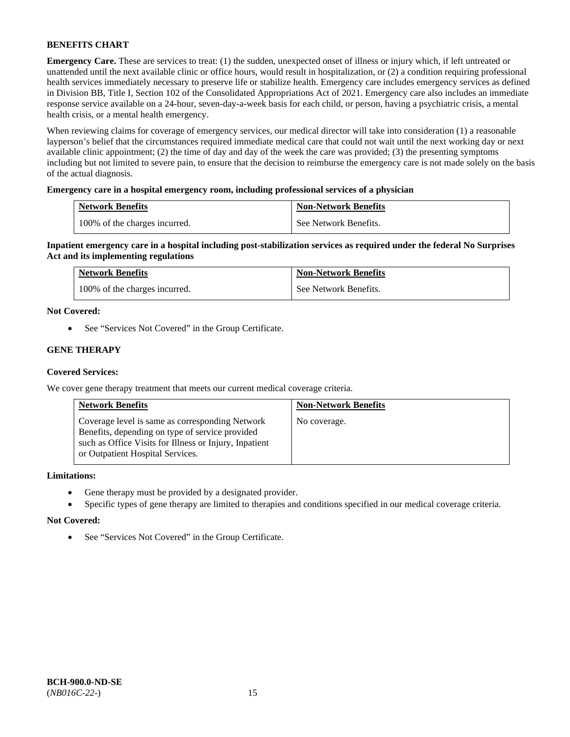**Emergency Care.** These are services to treat: (1) the sudden, unexpected onset of illness or injury which, if left untreated or unattended until the next available clinic or office hours, would result in hospitalization, or (2) a condition requiring professional health services immediately necessary to preserve life or stabilize health. Emergency care includes emergency services as defined in Division BB, Title I, Section 102 of the Consolidated Appropriations Act of 2021. Emergency care also includes an immediate response service available on a 24-hour, seven-day-a-week basis for each child, or person, having a psychiatric crisis, a mental health crisis, or a mental health emergency.

When reviewing claims for coverage of emergency services, our medical director will take into consideration (1) a reasonable layperson's belief that the circumstances required immediate medical care that could not wait until the next working day or next available clinic appointment; (2) the time of day and day of the week the care was provided; (3) the presenting symptoms including but not limited to severe pain, to ensure that the decision to reimburse the emergency care is not made solely on the basis of the actual diagnosis.

# **Emergency care in a hospital emergency room, including professional services of a physician**

| <b>Network Benefits</b>       | <b>Non-Network Benefits</b> |
|-------------------------------|-----------------------------|
| 100% of the charges incurred. | See Network Benefits.       |

**Inpatient emergency care in a hospital including post-stabilization services as required under the federal No Surprises Act and its implementing regulations**

| <b>Network Benefits</b>       | <b>Non-Network Benefits</b> |
|-------------------------------|-----------------------------|
| 100% of the charges incurred. | See Network Benefits.       |

### **Not Covered:**

• See "Services Not Covered" in the Group Certificate.

# **GENE THERAPY**

# **Covered Services:**

We cover gene therapy treatment that meets our current medical coverage criteria.

| <b>Network Benefits</b>                                                                                                                                                                          | <b>Non-Network Benefits</b> |
|--------------------------------------------------------------------------------------------------------------------------------------------------------------------------------------------------|-----------------------------|
| Coverage level is same as corresponding Network<br>Benefits, depending on type of service provided<br>such as Office Visits for Illness or Injury, Inpatient<br>or Outpatient Hospital Services. | No coverage.                |

### **Limitations:**

- Gene therapy must be provided by a designated provider.
- Specific types of gene therapy are limited to therapies and conditions specified in our medical coverage criteria.

#### **Not Covered:**

• See "Services Not Covered" in the Group Certificate.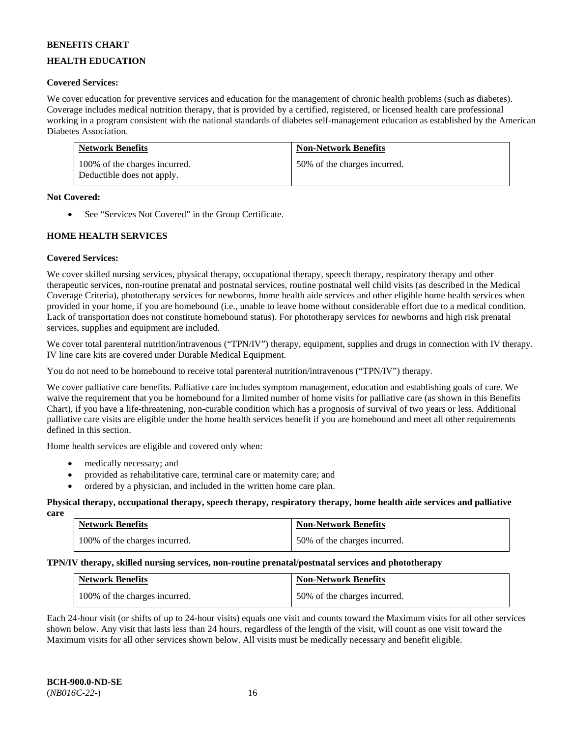# **HEALTH EDUCATION**

### **Covered Services:**

We cover education for preventive services and education for the management of chronic health problems (such as diabetes). Coverage includes medical nutrition therapy, that is provided by a certified, registered, or licensed health care professional working in a program consistent with the national standards of diabetes self-management education as established by the American Diabetes Association.

| <b>Network Benefits</b>                                     | <b>Non-Network Benefits</b>  |
|-------------------------------------------------------------|------------------------------|
| 100% of the charges incurred.<br>Deductible does not apply. | 50% of the charges incurred. |

### **Not Covered:**

• See "Services Not Covered" in the Group Certificate.

# **HOME HEALTH SERVICES**

### **Covered Services:**

We cover skilled nursing services, physical therapy, occupational therapy, speech therapy, respiratory therapy and other therapeutic services, non-routine prenatal and postnatal services, routine postnatal well child visits (as described in the Medical Coverage Criteria), phototherapy services for newborns, home health aide services and other eligible home health services when provided in your home, if you are homebound (i.e., unable to leave home without considerable effort due to a medical condition. Lack of transportation does not constitute homebound status). For phototherapy services for newborns and high risk prenatal services, supplies and equipment are included.

We cover total parenteral nutrition/intravenous ("TPN/IV") therapy, equipment, supplies and drugs in connection with IV therapy. IV line care kits are covered under Durable Medical Equipment.

You do not need to be homebound to receive total parenteral nutrition/intravenous ("TPN/IV") therapy.

We cover palliative care benefits. Palliative care includes symptom management, education and establishing goals of care. We waive the requirement that you be homebound for a limited number of home visits for palliative care (as shown in this Benefits Chart), if you have a life-threatening, non-curable condition which has a prognosis of survival of two years or less. Additional palliative care visits are eligible under the home health services benefit if you are homebound and meet all other requirements defined in this section.

Home health services are eligible and covered only when:

- medically necessary; and
- provided as rehabilitative care, terminal care or maternity care; and
- ordered by a physician, and included in the written home care plan.

#### **Physical therapy, occupational therapy, speech therapy, respiratory therapy, home health aide services and palliative care**

| <b>Network Benefits</b>       | <b>Non-Network Benefits</b>  |
|-------------------------------|------------------------------|
| 100% of the charges incurred. | 50% of the charges incurred. |

# **TPN/IV therapy, skilled nursing services, non-routine prenatal/postnatal services and phototherapy**

| <b>Network Benefits</b>       | <b>Non-Network Benefits</b>  |
|-------------------------------|------------------------------|
| 100% of the charges incurred. | 50% of the charges incurred. |

Each 24-hour visit (or shifts of up to 24-hour visits) equals one visit and counts toward the Maximum visits for all other services shown below. Any visit that lasts less than 24 hours, regardless of the length of the visit, will count as one visit toward the Maximum visits for all other services shown below. All visits must be medically necessary and benefit eligible.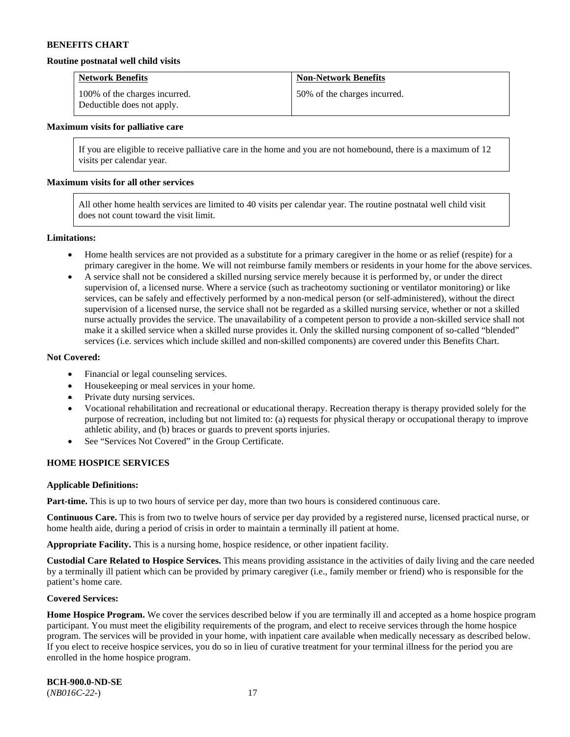#### **Routine postnatal well child visits**

| <b>Network Benefits</b>                                     | <b>Non-Network Benefits</b>  |
|-------------------------------------------------------------|------------------------------|
| 100% of the charges incurred.<br>Deductible does not apply. | 50% of the charges incurred. |

#### **Maximum visits for palliative care**

If you are eligible to receive palliative care in the home and you are not homebound, there is a maximum of 12 visits per calendar year.

#### **Maximum visits for all other services**

All other home health services are limited to 40 visits per calendar year. The routine postnatal well child visit does not count toward the visit limit.

#### **Limitations:**

- Home health services are not provided as a substitute for a primary caregiver in the home or as relief (respite) for a primary caregiver in the home. We will not reimburse family members or residents in your home for the above services.
- A service shall not be considered a skilled nursing service merely because it is performed by, or under the direct supervision of, a licensed nurse. Where a service (such as tracheotomy suctioning or ventilator monitoring) or like services, can be safely and effectively performed by a non-medical person (or self-administered), without the direct supervision of a licensed nurse, the service shall not be regarded as a skilled nursing service, whether or not a skilled nurse actually provides the service. The unavailability of a competent person to provide a non-skilled service shall not make it a skilled service when a skilled nurse provides it. Only the skilled nursing component of so-called "blended" services (i.e. services which include skilled and non-skilled components) are covered under this Benefits Chart.

#### **Not Covered:**

- Financial or legal counseling services.
- Housekeeping or meal services in your home.
- Private duty nursing services.
- Vocational rehabilitation and recreational or educational therapy. Recreation therapy is therapy provided solely for the purpose of recreation, including but not limited to: (a) requests for physical therapy or occupational therapy to improve athletic ability, and (b) braces or guards to prevent sports injuries.
- See "Services Not Covered" in the Group Certificate.

### **HOME HOSPICE SERVICES**

#### **Applicable Definitions:**

**Part-time.** This is up to two hours of service per day, more than two hours is considered continuous care.

**Continuous Care.** This is from two to twelve hours of service per day provided by a registered nurse, licensed practical nurse, or home health aide, during a period of crisis in order to maintain a terminally ill patient at home.

**Appropriate Facility.** This is a nursing home, hospice residence, or other inpatient facility.

**Custodial Care Related to Hospice Services.** This means providing assistance in the activities of daily living and the care needed by a terminally ill patient which can be provided by primary caregiver (i.e., family member or friend) who is responsible for the patient's home care.

#### **Covered Services:**

Home Hospice Program. We cover the services described below if you are terminally ill and accepted as a home hospice program participant. You must meet the eligibility requirements of the program, and elect to receive services through the home hospice program. The services will be provided in your home, with inpatient care available when medically necessary as described below. If you elect to receive hospice services, you do so in lieu of curative treatment for your terminal illness for the period you are enrolled in the home hospice program.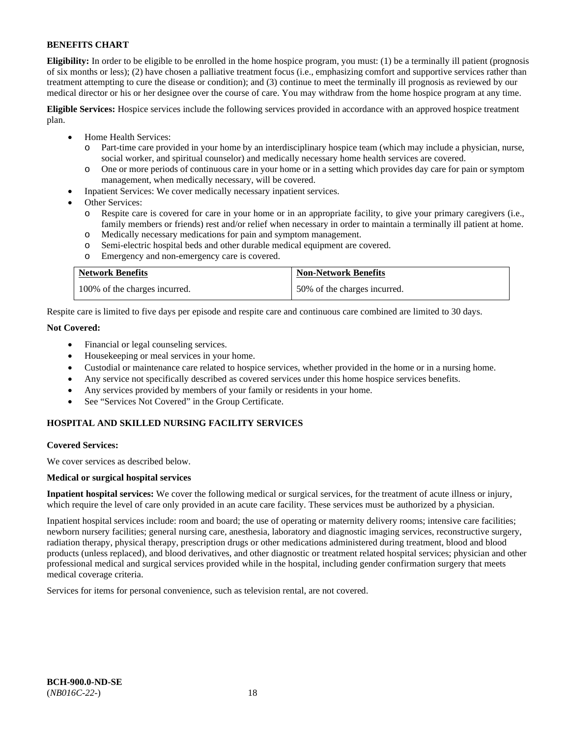**Eligibility:** In order to be eligible to be enrolled in the home hospice program, you must: (1) be a terminally ill patient (prognosis of six months or less); (2) have chosen a palliative treatment focus (i.e., emphasizing comfort and supportive services rather than treatment attempting to cure the disease or condition); and (3) continue to meet the terminally ill prognosis as reviewed by our medical director or his or her designee over the course of care. You may withdraw from the home hospice program at any time.

**Eligible Services:** Hospice services include the following services provided in accordance with an approved hospice treatment plan.

- Home Health Services:
	- o Part-time care provided in your home by an interdisciplinary hospice team (which may include a physician, nurse, social worker, and spiritual counselor) and medically necessary home health services are covered.
	- o One or more periods of continuous care in your home or in a setting which provides day care for pain or symptom management, when medically necessary, will be covered.
- Inpatient Services: We cover medically necessary inpatient services.
- Other Services:
	- Respite care is covered for care in your home or in an appropriate facility, to give your primary caregivers (i.e., family members or friends) rest and/or relief when necessary in order to maintain a terminally ill patient at home.
	- o Medically necessary medications for pain and symptom management.
	- Semi-electric hospital beds and other durable medical equipment are covered.
	- o Emergency and non-emergency care is covered.

| <b>Network Benefits</b>       | <b>Non-Network Benefits</b>  |
|-------------------------------|------------------------------|
| 100% of the charges incurred. | 50% of the charges incurred. |

Respite care is limited to five days per episode and respite care and continuous care combined are limited to 30 days.

# **Not Covered:**

- Financial or legal counseling services.
- Housekeeping or meal services in your home.
- Custodial or maintenance care related to hospice services, whether provided in the home or in a nursing home.
- Any service not specifically described as covered services under this home hospice services benefits.
- Any services provided by members of your family or residents in your home.
- See "Services Not Covered" in the Group Certificate.

# **HOSPITAL AND SKILLED NURSING FACILITY SERVICES**

#### **Covered Services:**

We cover services as described below.

#### **Medical or surgical hospital services**

**Inpatient hospital services:** We cover the following medical or surgical services, for the treatment of acute illness or injury, which require the level of care only provided in an acute care facility. These services must be authorized by a physician.

Inpatient hospital services include: room and board; the use of operating or maternity delivery rooms; intensive care facilities; newborn nursery facilities; general nursing care, anesthesia, laboratory and diagnostic imaging services, reconstructive surgery, radiation therapy, physical therapy, prescription drugs or other medications administered during treatment, blood and blood products (unless replaced), and blood derivatives, and other diagnostic or treatment related hospital services; physician and other professional medical and surgical services provided while in the hospital, including gender confirmation surgery that meets medical coverage criteria.

Services for items for personal convenience, such as television rental, are not covered.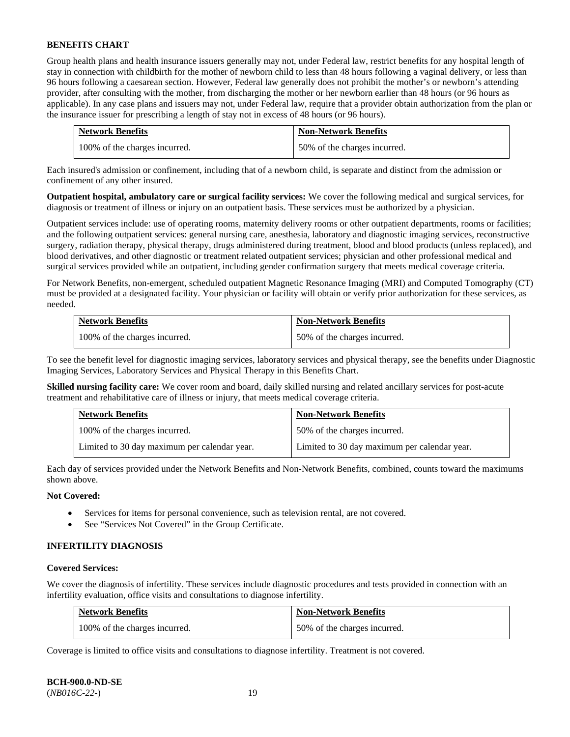Group health plans and health insurance issuers generally may not, under Federal law, restrict benefits for any hospital length of stay in connection with childbirth for the mother of newborn child to less than 48 hours following a vaginal delivery, or less than 96 hours following a caesarean section. However, Federal law generally does not prohibit the mother's or newborn's attending provider, after consulting with the mother, from discharging the mother or her newborn earlier than 48 hours (or 96 hours as applicable). In any case plans and issuers may not, under Federal law, require that a provider obtain authorization from the plan or the insurance issuer for prescribing a length of stay not in excess of 48 hours (or 96 hours).

| <b>Network Benefits</b>       | <b>Non-Network Benefits</b>  |
|-------------------------------|------------------------------|
| 100% of the charges incurred. | 50% of the charges incurred. |

Each insured's admission or confinement, including that of a newborn child, is separate and distinct from the admission or confinement of any other insured.

**Outpatient hospital, ambulatory care or surgical facility services:** We cover the following medical and surgical services, for diagnosis or treatment of illness or injury on an outpatient basis. These services must be authorized by a physician.

Outpatient services include: use of operating rooms, maternity delivery rooms or other outpatient departments, rooms or facilities; and the following outpatient services: general nursing care, anesthesia, laboratory and diagnostic imaging services, reconstructive surgery, radiation therapy, physical therapy, drugs administered during treatment, blood and blood products (unless replaced), and blood derivatives, and other diagnostic or treatment related outpatient services; physician and other professional medical and surgical services provided while an outpatient, including gender confirmation surgery that meets medical coverage criteria.

For Network Benefits, non-emergent, scheduled outpatient Magnetic Resonance Imaging (MRI) and Computed Tomography (CT) must be provided at a designated facility. Your physician or facility will obtain or verify prior authorization for these services, as needed.

| <b>Network Benefits</b>       | <b>Non-Network Benefits</b>  |
|-------------------------------|------------------------------|
| 100% of the charges incurred. | 50% of the charges incurred. |

To see the benefit level for diagnostic imaging services, laboratory services and physical therapy, see the benefits under Diagnostic Imaging Services, Laboratory Services and Physical Therapy in this Benefits Chart.

**Skilled nursing facility care:** We cover room and board, daily skilled nursing and related ancillary services for post-acute treatment and rehabilitative care of illness or injury, that meets medical coverage criteria.

| <b>Network Benefits</b>                      | <b>Non-Network Benefits</b>                  |
|----------------------------------------------|----------------------------------------------|
| 100% of the charges incurred.                | 50% of the charges incurred.                 |
| Limited to 30 day maximum per calendar year. | Limited to 30 day maximum per calendar year. |

Each day of services provided under the Network Benefits and Non-Network Benefits, combined, counts toward the maximums shown above.

# **Not Covered:**

- Services for items for personal convenience, such as television rental, are not covered.
- See "Services Not Covered" in the Group Certificate.

#### **INFERTILITY DIAGNOSIS**

#### **Covered Services:**

We cover the diagnosis of infertility. These services include diagnostic procedures and tests provided in connection with an infertility evaluation, office visits and consultations to diagnose infertility.

| <b>Network Benefits</b>       | <b>Non-Network Benefits</b>  |
|-------------------------------|------------------------------|
| 100% of the charges incurred. | 50% of the charges incurred. |

Coverage is limited to office visits and consultations to diagnose infertility. Treatment is not covered.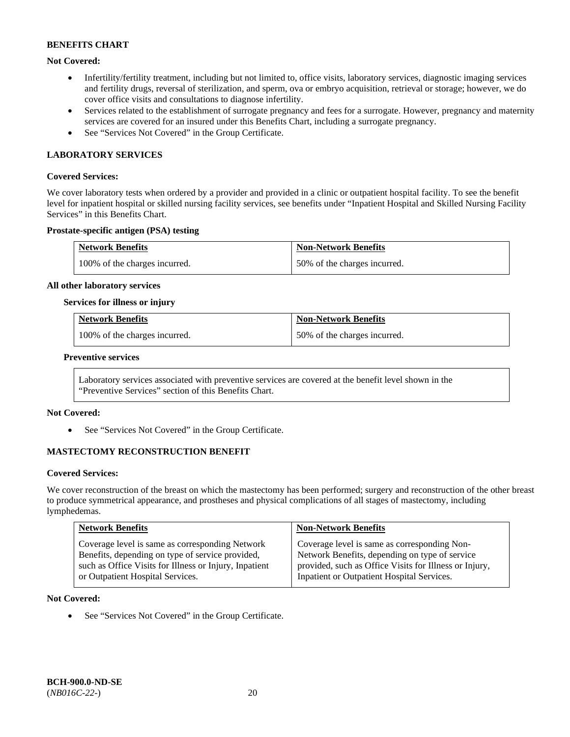# **Not Covered:**

- Infertility/fertility treatment, including but not limited to, office visits, laboratory services, diagnostic imaging services and fertility drugs, reversal of sterilization, and sperm, ova or embryo acquisition, retrieval or storage; however, we do cover office visits and consultations to diagnose infertility.
- Services related to the establishment of surrogate pregnancy and fees for a surrogate. However, pregnancy and maternity services are covered for an insured under this Benefits Chart, including a surrogate pregnancy.
- See "Services Not Covered" in the Group Certificate.

### **LABORATORY SERVICES**

#### **Covered Services:**

We cover laboratory tests when ordered by a provider and provided in a clinic or outpatient hospital facility. To see the benefit level for inpatient hospital or skilled nursing facility services, see benefits under "Inpatient Hospital and Skilled Nursing Facility Services" in this Benefits Chart.

#### **Prostate-specific antigen (PSA) testing**

| <b>Network Benefits</b>       | <b>Non-Network Benefits</b>  |
|-------------------------------|------------------------------|
| 100% of the charges incurred. | 50% of the charges incurred. |

#### **All other laboratory services**

#### **Services for illness or injury**

| <b>Network Benefits</b>       | <b>Non-Network Benefits</b>  |
|-------------------------------|------------------------------|
| 100% of the charges incurred. | 50% of the charges incurred. |

#### **Preventive services**

Laboratory services associated with preventive services are covered at the benefit level shown in the "Preventive Services" section of this Benefits Chart.

#### **Not Covered:**

See "Services Not Covered" in the Group Certificate.

# **MASTECTOMY RECONSTRUCTION BENEFIT**

#### **Covered Services:**

We cover reconstruction of the breast on which the mastectomy has been performed; surgery and reconstruction of the other breast to produce symmetrical appearance, and prostheses and physical complications of all stages of mastectomy, including lymphedemas.

| <b>Network Benefits</b>                                | <b>Non-Network Benefits</b>                            |
|--------------------------------------------------------|--------------------------------------------------------|
| Coverage level is same as corresponding Network        | Coverage level is same as corresponding Non-           |
| Benefits, depending on type of service provided,       | Network Benefits, depending on type of service         |
| such as Office Visits for Illness or Injury, Inpatient | provided, such as Office Visits for Illness or Injury, |
| or Outpatient Hospital Services.                       | Inpatient or Outpatient Hospital Services.             |

#### **Not Covered:**

• See "Services Not Covered" in the Group Certificate.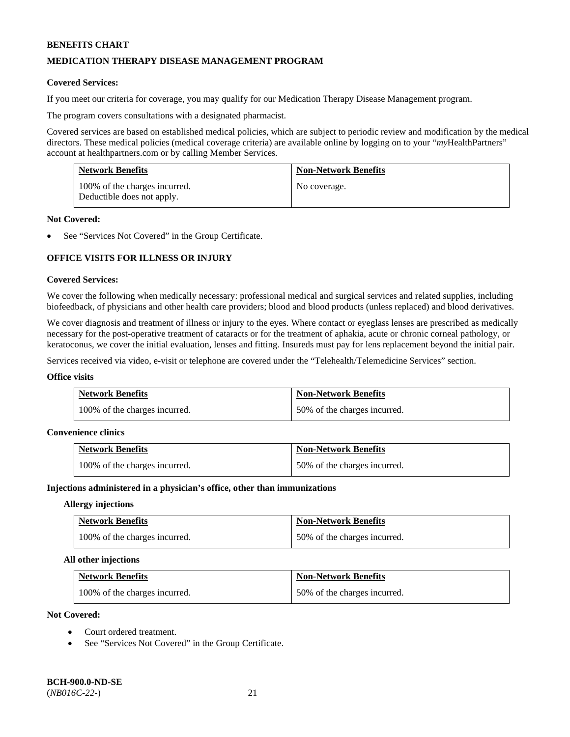# **MEDICATION THERAPY DISEASE MANAGEMENT PROGRAM**

### **Covered Services:**

If you meet our criteria for coverage, you may qualify for our Medication Therapy Disease Management program.

The program covers consultations with a designated pharmacist.

Covered services are based on established medical policies, which are subject to periodic review and modification by the medical directors. These medical policies (medical coverage criteria) are available online by logging on to your "*my*HealthPartners" account a[t healthpartners.com](http://www.healthpartners.com/) or by calling Member Services.

| <b>Network Benefits</b>                                     | <b>Non-Network Benefits</b> |
|-------------------------------------------------------------|-----------------------------|
| 100% of the charges incurred.<br>Deductible does not apply. | No coverage.                |

#### **Not Covered:**

See "Services Not Covered" in the Group Certificate.

# **OFFICE VISITS FOR ILLNESS OR INJURY**

### **Covered Services:**

We cover the following when medically necessary: professional medical and surgical services and related supplies, including biofeedback, of physicians and other health care providers; blood and blood products (unless replaced) and blood derivatives.

We cover diagnosis and treatment of illness or injury to the eyes. Where contact or eyeglass lenses are prescribed as medically necessary for the post-operative treatment of cataracts or for the treatment of aphakia, acute or chronic corneal pathology, or keratoconus, we cover the initial evaluation, lenses and fitting. Insureds must pay for lens replacement beyond the initial pair.

Services received via video, e-visit or telephone are covered under the "Telehealth/Telemedicine Services" section.

#### **Office visits**

| <b>Network Benefits</b>       | <b>Non-Network Benefits</b>  |
|-------------------------------|------------------------------|
| 100% of the charges incurred. | 50% of the charges incurred. |

#### **Convenience clinics**

| <b>Network Benefits</b>       | <b>Non-Network Benefits</b>  |
|-------------------------------|------------------------------|
| 100% of the charges incurred. | 50% of the charges incurred. |

#### **Injections administered in a physician's office, other than immunizations**

#### **Allergy injections**

| <b>Network Benefits</b>       | <b>Non-Network Benefits</b>  |
|-------------------------------|------------------------------|
| 100% of the charges incurred. | 50% of the charges incurred. |

#### **All other injections**

| <b>Network Benefits</b>       | <b>Non-Network Benefits</b>  |
|-------------------------------|------------------------------|
| 100% of the charges incurred. | 50% of the charges incurred. |

# **Not Covered:**

- Court ordered treatment.
- See "Services Not Covered" in the Group Certificate.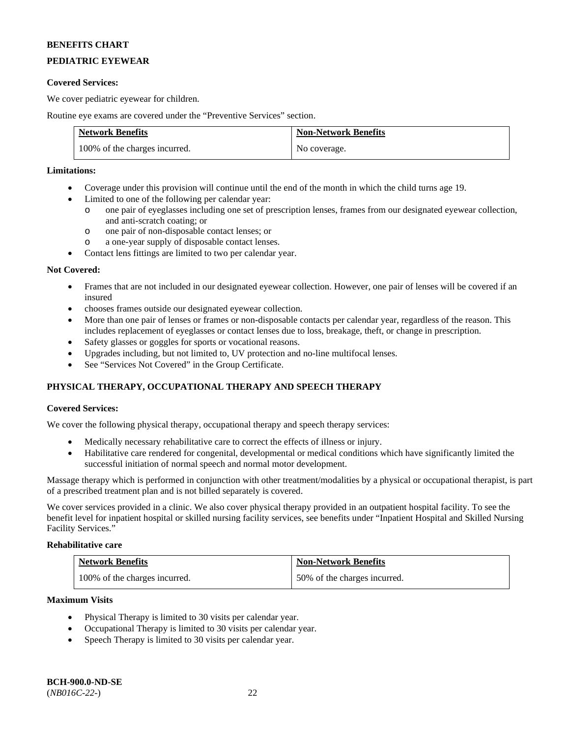# **PEDIATRIC EYEWEAR**

### **Covered Services:**

We cover pediatric eyewear for children.

Routine eye exams are covered under the "Preventive Services" section.

| <b>Network Benefits</b>       | <b>Non-Network Benefits</b> |
|-------------------------------|-----------------------------|
| 100% of the charges incurred. | No coverage.                |

# **Limitations:**

- Coverage under this provision will continue until the end of the month in which the child turns age 19.
- Limited to one of the following per calendar year:
	- o one pair of eyeglasses including one set of prescription lenses, frames from our designated eyewear collection, and anti-scratch coating; or
	- o one pair of non-disposable contact lenses; or
	- o a one-year supply of disposable contact lenses.
- Contact lens fittings are limited to two per calendar year.

### **Not Covered:**

- Frames that are not included in our designated eyewear collection. However, one pair of lenses will be covered if an insured
- chooses frames outside our designated eyewear collection.
- More than one pair of lenses or frames or non-disposable contacts per calendar year, regardless of the reason. This includes replacement of eyeglasses or contact lenses due to loss, breakage, theft, or change in prescription.
- Safety glasses or goggles for sports or vocational reasons.
- Upgrades including, but not limited to, UV protection and no-line multifocal lenses.
- See "Services Not Covered" in the Group Certificate.

# **PHYSICAL THERAPY, OCCUPATIONAL THERAPY AND SPEECH THERAPY**

# **Covered Services:**

We cover the following physical therapy, occupational therapy and speech therapy services:

- Medically necessary rehabilitative care to correct the effects of illness or injury.
- Habilitative care rendered for congenital, developmental or medical conditions which have significantly limited the successful initiation of normal speech and normal motor development.

Massage therapy which is performed in conjunction with other treatment/modalities by a physical or occupational therapist, is part of a prescribed treatment plan and is not billed separately is covered.

We cover services provided in a clinic. We also cover physical therapy provided in an outpatient hospital facility. To see the benefit level for inpatient hospital or skilled nursing facility services, see benefits under "Inpatient Hospital and Skilled Nursing Facility Services."

# **Rehabilitative care**

| <b>Network Benefits</b>       | <b>Non-Network Benefits</b>  |
|-------------------------------|------------------------------|
| 100% of the charges incurred. | 50% of the charges incurred. |

#### **Maximum Visits**

- Physical Therapy is limited to 30 visits per calendar year.
- Occupational Therapy is limited to 30 visits per calendar year.
- Speech Therapy is limited to 30 visits per calendar year.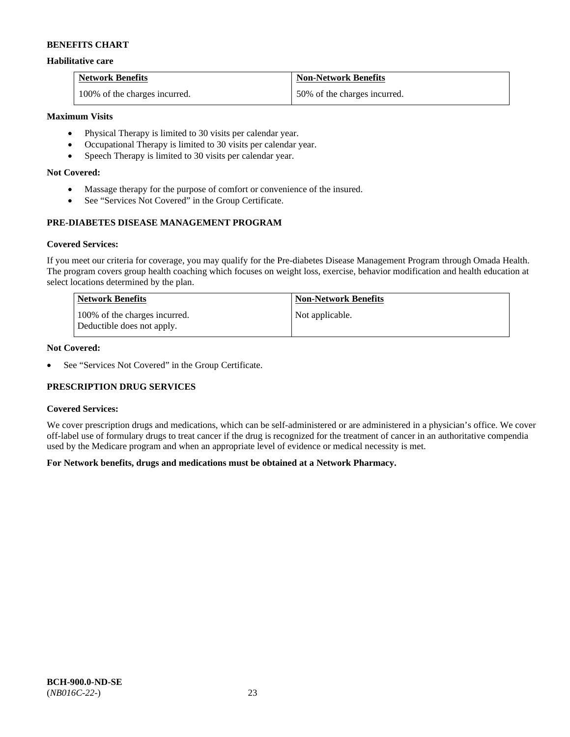### **Habilitative care**

| <b>Network Benefits</b>       | <b>Non-Network Benefits</b>  |
|-------------------------------|------------------------------|
| 100% of the charges incurred. | 50% of the charges incurred. |

# **Maximum Visits**

- Physical Therapy is limited to 30 visits per calendar year.
- Occupational Therapy is limited to 30 visits per calendar year.
- Speech Therapy is limited to 30 visits per calendar year.

# **Not Covered:**

- Massage therapy for the purpose of comfort or convenience of the insured.
- See "Services Not Covered" in the Group Certificate.

# **PRE-DIABETES DISEASE MANAGEMENT PROGRAM**

### **Covered Services:**

If you meet our criteria for coverage, you may qualify for the Pre-diabetes Disease Management Program through Omada Health. The program covers group health coaching which focuses on weight loss, exercise, behavior modification and health education at select locations determined by the plan.

| Network Benefits                                            | <b>Non-Network Benefits</b> |
|-------------------------------------------------------------|-----------------------------|
| 100% of the charges incurred.<br>Deductible does not apply. | Not applicable.             |

# **Not Covered:**

• See "Services Not Covered" in the Group Certificate.

# **PRESCRIPTION DRUG SERVICES**

#### **Covered Services:**

We cover prescription drugs and medications, which can be self-administered or are administered in a physician's office. We cover off-label use of formulary drugs to treat cancer if the drug is recognized for the treatment of cancer in an authoritative compendia used by the Medicare program and when an appropriate level of evidence or medical necessity is met.

# **For Network benefits, drugs and medications must be obtained at a Network Pharmacy.**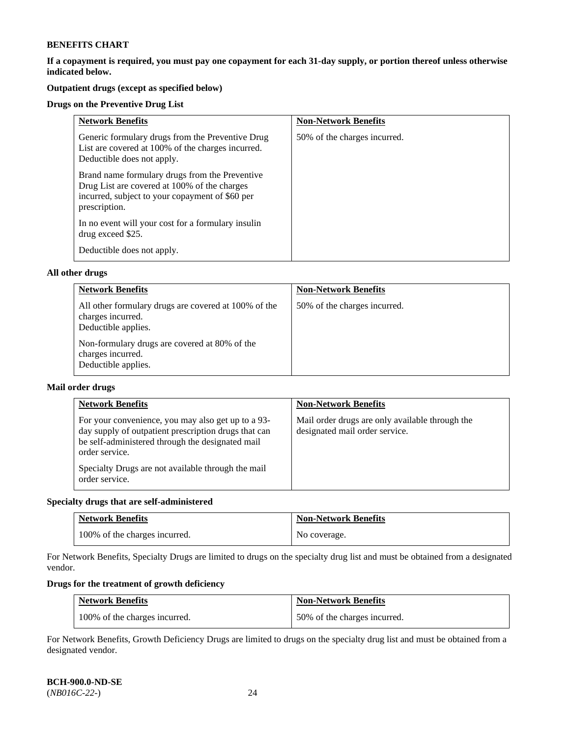**If a copayment is required, you must pay one copayment for each 31-day supply, or portion thereof unless otherwise indicated below.** 

# **Outpatient drugs (except as specified below)**

# **Drugs on the Preventive Drug List**

| <b>Network Benefits</b>                                                                                                                                            | <b>Non-Network Benefits</b>  |
|--------------------------------------------------------------------------------------------------------------------------------------------------------------------|------------------------------|
| Generic formulary drugs from the Preventive Drug<br>List are covered at 100% of the charges incurred.<br>Deductible does not apply.                                | 50% of the charges incurred. |
| Brand name formulary drugs from the Preventive<br>Drug List are covered at 100% of the charges<br>incurred, subject to your copayment of \$60 per<br>prescription. |                              |
| In no event will your cost for a formulary insulin<br>drug exceed \$25.                                                                                            |                              |
| Deductible does not apply.                                                                                                                                         |                              |

### **All other drugs**

| <b>Network Benefits</b>                                                                          | <b>Non-Network Benefits</b>  |
|--------------------------------------------------------------------------------------------------|------------------------------|
| All other formulary drugs are covered at 100% of the<br>charges incurred.<br>Deductible applies. | 50% of the charges incurred. |
| Non-formulary drugs are covered at 80% of the<br>charges incurred.<br>Deductible applies.        |                              |

### **Mail order drugs**

| <b>Network Benefits</b>                                                                                                                                                                                                                                  | <b>Non-Network Benefits</b>                                                       |
|----------------------------------------------------------------------------------------------------------------------------------------------------------------------------------------------------------------------------------------------------------|-----------------------------------------------------------------------------------|
| For your convenience, you may also get up to a 93-<br>day supply of outpatient prescription drugs that can<br>be self-administered through the designated mail<br>order service.<br>Specialty Drugs are not available through the mail<br>order service. | Mail order drugs are only available through the<br>designated mail order service. |

# **Specialty drugs that are self-administered**

| <b>Network Benefits</b>       | <b>Non-Network Benefits</b> |
|-------------------------------|-----------------------------|
| 100% of the charges incurred. | No coverage.                |

For Network Benefits, Specialty Drugs are limited to drugs on the specialty drug list and must be obtained from a designated vendor.

# **Drugs for the treatment of growth deficiency**

| <b>Network Benefits</b>       | <b>Non-Network Benefits</b>  |
|-------------------------------|------------------------------|
| 100% of the charges incurred. | 50% of the charges incurred. |

For Network Benefits, Growth Deficiency Drugs are limited to drugs on the specialty drug list and must be obtained from a designated vendor.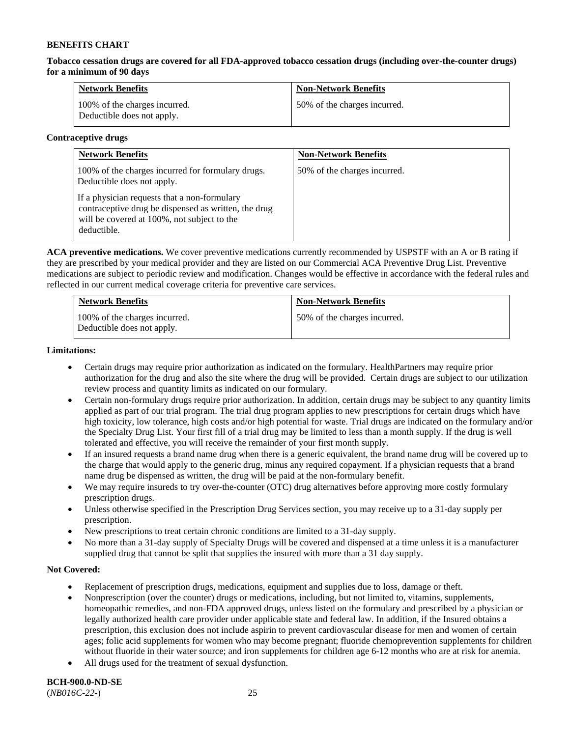**Tobacco cessation drugs are covered for all FDA-approved tobacco cessation drugs (including over-the-counter drugs) for a minimum of 90 days**

| <b>Network Benefits</b>                                     | <b>Non-Network Benefits</b>  |
|-------------------------------------------------------------|------------------------------|
| 100% of the charges incurred.<br>Deductible does not apply. | 50% of the charges incurred. |

### **Contraceptive drugs**

| <b>Network Benefits</b>                                                                                                                                            | <b>Non-Network Benefits</b>  |
|--------------------------------------------------------------------------------------------------------------------------------------------------------------------|------------------------------|
| 100% of the charges incurred for formulary drugs.<br>Deductible does not apply.                                                                                    | 50% of the charges incurred. |
| If a physician requests that a non-formulary<br>contraceptive drug be dispensed as written, the drug<br>will be covered at 100%, not subject to the<br>deductible. |                              |

**ACA preventive medications.** We cover preventive medications currently recommended by USPSTF with an A or B rating if they are prescribed by your medical provider and they are listed on our Commercial ACA Preventive Drug List. Preventive medications are subject to periodic review and modification. Changes would be effective in accordance with the federal rules and reflected in our current medical coverage criteria for preventive care services.

| <b>Network Benefits</b>                                     | <b>Non-Network Benefits</b>  |
|-------------------------------------------------------------|------------------------------|
| 100% of the charges incurred.<br>Deductible does not apply. | 50% of the charges incurred. |

### **Limitations:**

- Certain drugs may require prior authorization as indicated on the formulary. HealthPartners may require prior authorization for the drug and also the site where the drug will be provided. Certain drugs are subject to our utilization review process and quantity limits as indicated on our formulary.
- Certain non-formulary drugs require prior authorization. In addition, certain drugs may be subject to any quantity limits applied as part of our trial program. The trial drug program applies to new prescriptions for certain drugs which have high toxicity, low tolerance, high costs and/or high potential for waste. Trial drugs are indicated on the formulary and/or the Specialty Drug List. Your first fill of a trial drug may be limited to less than a month supply. If the drug is well tolerated and effective, you will receive the remainder of your first month supply.
- If an insured requests a brand name drug when there is a generic equivalent, the brand name drug will be covered up to the charge that would apply to the generic drug, minus any required copayment. If a physician requests that a brand name drug be dispensed as written, the drug will be paid at the non-formulary benefit.
- We may require insureds to try over-the-counter (OTC) drug alternatives before approving more costly formulary prescription drugs.
- Unless otherwise specified in the Prescription Drug Services section, you may receive up to a 31-day supply per prescription.
- New prescriptions to treat certain chronic conditions are limited to a 31-day supply.
- No more than a 31-day supply of Specialty Drugs will be covered and dispensed at a time unless it is a manufacturer supplied drug that cannot be split that supplies the insured with more than a 31 day supply.

# **Not Covered:**

- Replacement of prescription drugs, medications, equipment and supplies due to loss, damage or theft.
- Nonprescription (over the counter) drugs or medications, including, but not limited to, vitamins, supplements, homeopathic remedies, and non-FDA approved drugs, unless listed on the formulary and prescribed by a physician or legally authorized health care provider under applicable state and federal law. In addition, if the Insured obtains a prescription, this exclusion does not include aspirin to prevent cardiovascular disease for men and women of certain ages; folic acid supplements for women who may become pregnant; fluoride chemoprevention supplements for children without fluoride in their water source; and iron supplements for children age 6-12 months who are at risk for anemia.
- All drugs used for the treatment of sexual dysfunction.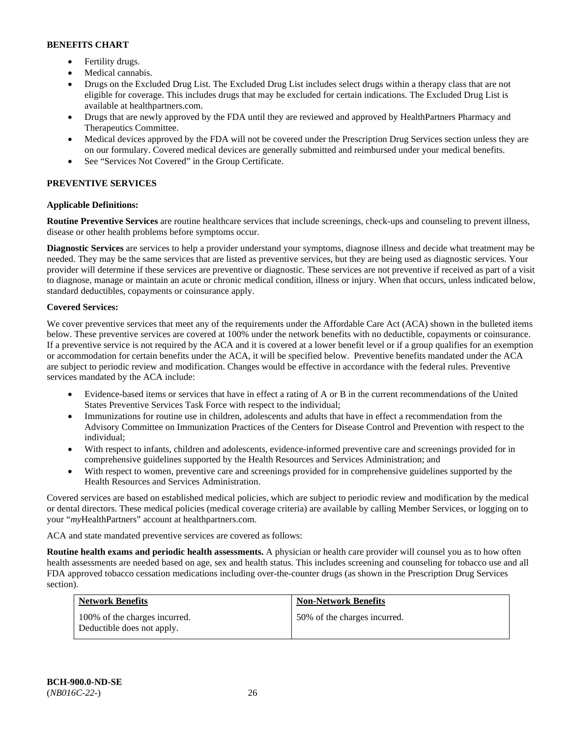- Fertility drugs.
- Medical cannabis.
- Drugs on the Excluded Drug List. The Excluded Drug List includes select drugs within a therapy class that are not eligible for coverage. This includes drugs that may be excluded for certain indications. The Excluded Drug List is available at [healthpartners.com.](http://www.healthpartners.com/)
- Drugs that are newly approved by the FDA until they are reviewed and approved by HealthPartners Pharmacy and Therapeutics Committee.
- Medical devices approved by the FDA will not be covered under the Prescription Drug Services section unless they are on our formulary. Covered medical devices are generally submitted and reimbursed under your medical benefits.
- See "Services Not Covered" in the Group Certificate.

# **PREVENTIVE SERVICES**

# **Applicable Definitions:**

**Routine Preventive Services** are routine healthcare services that include screenings, check-ups and counseling to prevent illness, disease or other health problems before symptoms occur.

**Diagnostic Services** are services to help a provider understand your symptoms, diagnose illness and decide what treatment may be needed. They may be the same services that are listed as preventive services, but they are being used as diagnostic services. Your provider will determine if these services are preventive or diagnostic. These services are not preventive if received as part of a visit to diagnose, manage or maintain an acute or chronic medical condition, illness or injury. When that occurs, unless indicated below, standard deductibles, copayments or coinsurance apply.

# **Covered Services:**

We cover preventive services that meet any of the requirements under the Affordable Care Act (ACA) shown in the bulleted items below. These preventive services are covered at 100% under the network benefits with no deductible, copayments or coinsurance. If a preventive service is not required by the ACA and it is covered at a lower benefit level or if a group qualifies for an exemption or accommodation for certain benefits under the ACA, it will be specified below. Preventive benefits mandated under the ACA are subject to periodic review and modification. Changes would be effective in accordance with the federal rules. Preventive services mandated by the ACA include:

- Evidence-based items or services that have in effect a rating of A or B in the current recommendations of the United States Preventive Services Task Force with respect to the individual;
- Immunizations for routine use in children, adolescents and adults that have in effect a recommendation from the Advisory Committee on Immunization Practices of the Centers for Disease Control and Prevention with respect to the individual;
- With respect to infants, children and adolescents, evidence-informed preventive care and screenings provided for in comprehensive guidelines supported by the Health Resources and Services Administration; and
- With respect to women, preventive care and screenings provided for in comprehensive guidelines supported by the Health Resources and Services Administration.

Covered services are based on established medical policies, which are subject to periodic review and modification by the medical or dental directors. These medical policies (medical coverage criteria) are available by calling Member Services, or logging on to your "*my*HealthPartners" account at [healthpartners.com.](http://www.healthpartners.com/) 

ACA and state mandated preventive services are covered as follows:

**Routine health exams and periodic health assessments.** A physician or health care provider will counsel you as to how often health assessments are needed based on age, sex and health status. This includes screening and counseling for tobacco use and all FDA approved tobacco cessation medications including over-the-counter drugs (as shown in the Prescription Drug Services section).

| <b>Network Benefits</b>                                     | <b>Non-Network Benefits</b>  |
|-------------------------------------------------------------|------------------------------|
| 100% of the charges incurred.<br>Deductible does not apply. | 50% of the charges incurred. |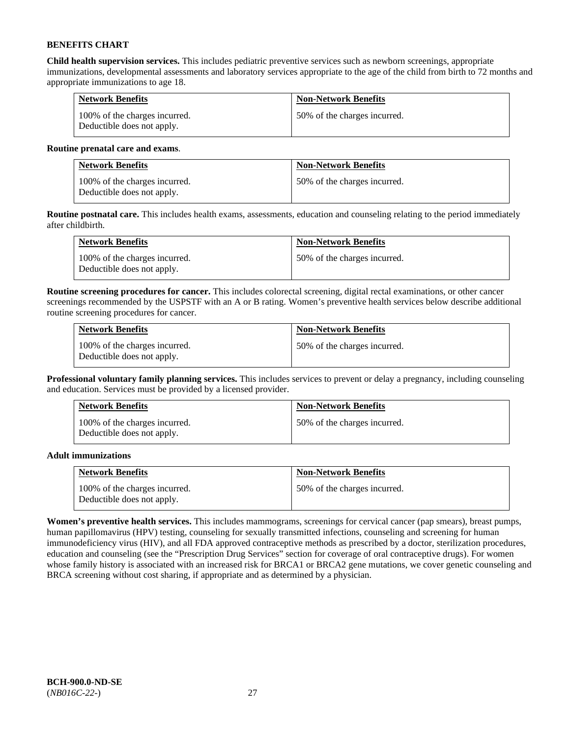**Child health supervision services.** This includes pediatric preventive services such as newborn screenings, appropriate immunizations, developmental assessments and laboratory services appropriate to the age of the child from birth to 72 months and appropriate immunizations to age 18.

| <b>Network Benefits</b>                                     | <b>Non-Network Benefits</b>  |
|-------------------------------------------------------------|------------------------------|
| 100% of the charges incurred.<br>Deductible does not apply. | 50% of the charges incurred. |

### **Routine prenatal care and exams**.

| <b>Network Benefits</b>                                     | <b>Non-Network Benefits</b>  |
|-------------------------------------------------------------|------------------------------|
| 100% of the charges incurred.<br>Deductible does not apply. | 50% of the charges incurred. |

**Routine postnatal care.** This includes health exams, assessments, education and counseling relating to the period immediately after childbirth.

| <b>Network Benefits</b>                                     | <b>Non-Network Benefits</b>  |
|-------------------------------------------------------------|------------------------------|
| 100% of the charges incurred.<br>Deductible does not apply. | 50% of the charges incurred. |

**Routine screening procedures for cancer.** This includes colorectal screening, digital rectal examinations, or other cancer screenings recommended by the USPSTF with an A or B rating. Women's preventive health services below describe additional routine screening procedures for cancer.

| <b>Network Benefits</b>                                     | <b>Non-Network Benefits</b>  |
|-------------------------------------------------------------|------------------------------|
| 100% of the charges incurred.<br>Deductible does not apply. | 50% of the charges incurred. |

**Professional voluntary family planning services.** This includes services to prevent or delay a pregnancy, including counseling and education. Services must be provided by a licensed provider.

| <b>Network Benefits</b>                                     | <b>Non-Network Benefits</b>  |
|-------------------------------------------------------------|------------------------------|
| 100% of the charges incurred.<br>Deductible does not apply. | 50% of the charges incurred. |

# **Adult immunizations**

| <b>Network Benefits</b>                                     | <b>Non-Network Benefits</b>  |
|-------------------------------------------------------------|------------------------------|
| 100% of the charges incurred.<br>Deductible does not apply. | 50% of the charges incurred. |

**Women's preventive health services.** This includes mammograms, screenings for cervical cancer (pap smears), breast pumps, human papillomavirus (HPV) testing, counseling for sexually transmitted infections, counseling and screening for human immunodeficiency virus (HIV), and all FDA approved contraceptive methods as prescribed by a doctor, sterilization procedures, education and counseling (see the "Prescription Drug Services" section for coverage of oral contraceptive drugs). For women whose family history is associated with an increased risk for BRCA1 or BRCA2 gene mutations, we cover genetic counseling and BRCA screening without cost sharing, if appropriate and as determined by a physician.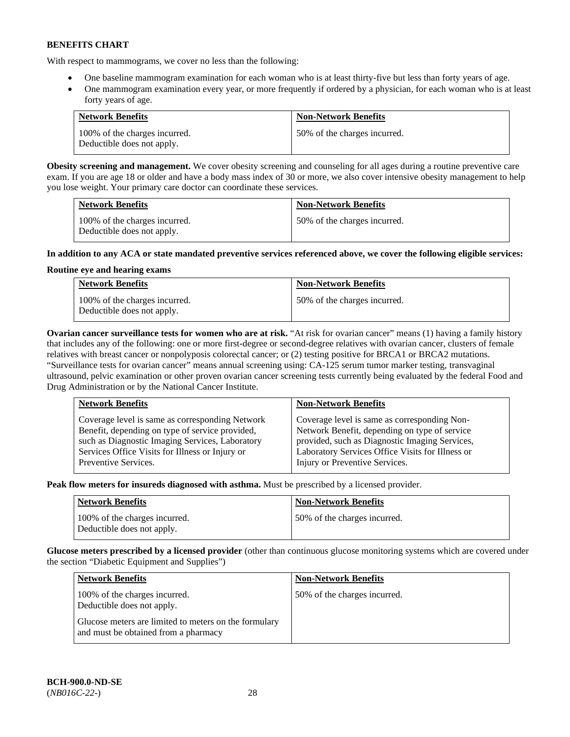With respect to mammograms, we cover no less than the following:

- One baseline mammogram examination for each woman who is at least thirty-five but less than forty years of age.
- One mammogram examination every year, or more frequently if ordered by a physician, for each woman who is at least forty years of age.

| <b>Network Benefits</b>                                     | <b>Non-Network Benefits</b>  |
|-------------------------------------------------------------|------------------------------|
| 100% of the charges incurred.<br>Deductible does not apply. | 50% of the charges incurred. |

**Obesity screening and management.** We cover obesity screening and counseling for all ages during a routine preventive care exam. If you are age 18 or older and have a body mass index of 30 or more, we also cover intensive obesity management to help you lose weight. Your primary care doctor can coordinate these services.

| <b>Network Benefits</b>                                     | <b>Non-Network Benefits</b>  |
|-------------------------------------------------------------|------------------------------|
| 100% of the charges incurred.<br>Deductible does not apply. | 50% of the charges incurred. |

# **In addition to any ACA or state mandated preventive services referenced above, we cover the following eligible services:**

# **Routine eye and hearing exams**

| <b>Network Benefits</b>                                     | <b>Non-Network Benefits</b>  |
|-------------------------------------------------------------|------------------------------|
| 100% of the charges incurred.<br>Deductible does not apply. | 50% of the charges incurred. |

**Ovarian cancer surveillance tests for women who are at risk.** "At risk for ovarian cancer" means (1) having a family history that includes any of the following: one or more first-degree or second-degree relatives with ovarian cancer, clusters of female relatives with breast cancer or nonpolyposis colorectal cancer; or (2) testing positive for BRCA1 or BRCA2 mutations. "Surveillance tests for ovarian cancer" means annual screening using: CA-125 serum tumor marker testing, transvaginal ultrasound, pelvic examination or other proven ovarian cancer screening tests currently being evaluated by the federal Food and Drug Administration or by the National Cancer Institute.

| <b>Network Benefits</b>                         | <b>Non-Network Benefits</b>                      |
|-------------------------------------------------|--------------------------------------------------|
| Coverage level is same as corresponding Network | Coverage level is same as corresponding Non-     |
| Benefit, depending on type of service provided, | Network Benefit, depending on type of service    |
| such as Diagnostic Imaging Services, Laboratory | provided, such as Diagnostic Imaging Services,   |
| Services Office Visits for Illness or Injury or | Laboratory Services Office Visits for Illness or |
| Preventive Services.                            | Injury or Preventive Services.                   |

**Peak flow meters for insureds diagnosed with asthma.** Must be prescribed by a licensed provider.

| <b>Network Benefits</b>                                     | <b>Non-Network Benefits</b>  |
|-------------------------------------------------------------|------------------------------|
| 100% of the charges incurred.<br>Deductible does not apply. | 50% of the charges incurred. |

**Glucose meters prescribed by a licensed provider** (other than continuous glucose monitoring systems which are covered under the section "Diabetic Equipment and Supplies")

| <b>Network Benefits</b>                                                                       | <b>Non-Network Benefits</b>  |
|-----------------------------------------------------------------------------------------------|------------------------------|
| 100% of the charges incurred.<br>Deductible does not apply.                                   | 50% of the charges incurred. |
| Glucose meters are limited to meters on the formulary<br>and must be obtained from a pharmacy |                              |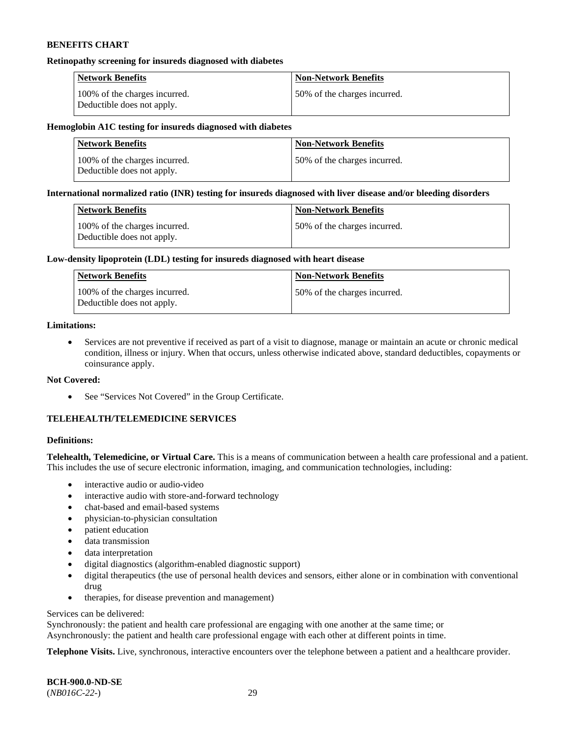#### **Retinopathy screening for insureds diagnosed with diabetes**

| <b>Network Benefits</b>                                     | <b>Non-Network Benefits</b>  |
|-------------------------------------------------------------|------------------------------|
| 100% of the charges incurred.<br>Deductible does not apply. | 50% of the charges incurred. |

#### **Hemoglobin A1C testing for insureds diagnosed with diabetes**

| <b>Network Benefits</b>                                     | <b>Non-Network Benefits</b>  |
|-------------------------------------------------------------|------------------------------|
| 100% of the charges incurred.<br>Deductible does not apply. | 50% of the charges incurred. |

### **International normalized ratio (INR) testing for insureds diagnosed with liver disease and/or bleeding disorders**

| Network Benefits                                            | <b>Non-Network Benefits</b>  |
|-------------------------------------------------------------|------------------------------|
| 100% of the charges incurred.<br>Deductible does not apply. | 50% of the charges incurred. |

### **Low-density lipoprotein (LDL) testing for insureds diagnosed with heart disease**

| <b>Network Benefits</b>                                     | <b>Non-Network Benefits</b>  |
|-------------------------------------------------------------|------------------------------|
| 100% of the charges incurred.<br>Deductible does not apply. | 50% of the charges incurred. |

# **Limitations:**

• Services are not preventive if received as part of a visit to diagnose, manage or maintain an acute or chronic medical condition, illness or injury. When that occurs, unless otherwise indicated above, standard deductibles, copayments or coinsurance apply.

#### **Not Covered:**

• See "Services Not Covered" in the Group Certificate.

# **TELEHEALTH/TELEMEDICINE SERVICES**

### **Definitions:**

**Telehealth, Telemedicine, or Virtual Care.** This is a means of communication between a health care professional and a patient. This includes the use of secure electronic information, imaging, and communication technologies, including:

- interactive audio or audio-video
- interactive audio with store-and-forward technology
- chat-based and email-based systems
- physician-to-physician consultation
- patient education
- data transmission
- data interpretation
- digital diagnostics (algorithm-enabled diagnostic support)
- digital therapeutics (the use of personal health devices and sensors, either alone or in combination with conventional drug
- therapies, for disease prevention and management)

### Services can be delivered:

Synchronously: the patient and health care professional are engaging with one another at the same time; or Asynchronously: the patient and health care professional engage with each other at different points in time.

**Telephone Visits.** Live, synchronous, interactive encounters over the telephone between a patient and a healthcare provider.

**BCH-900.0-ND-SE** (*NB016C-22-*) 29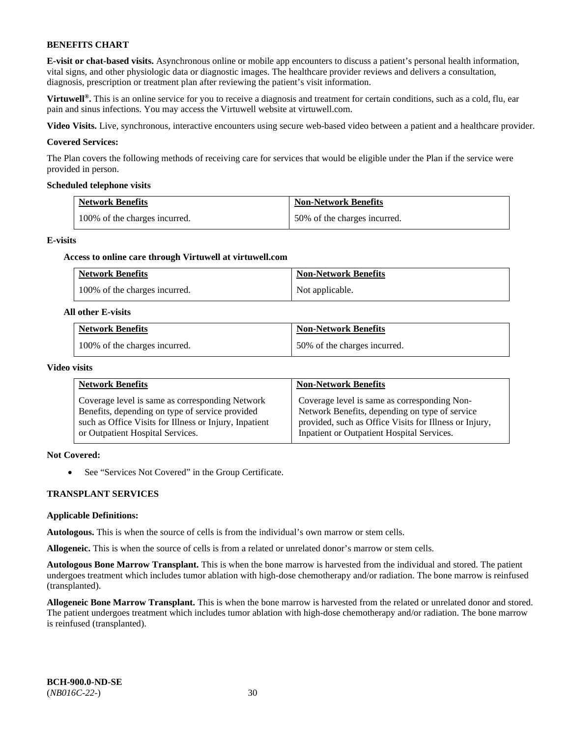**E-visit or chat-based visits.** Asynchronous online or mobile app encounters to discuss a patient's personal health information, vital signs, and other physiologic data or diagnostic images. The healthcare provider reviews and delivers a consultation, diagnosis, prescription or treatment plan after reviewing the patient's visit information.

**Virtuwell<sup>®</sup>**. This is an online service for you to receive a diagnosis and treatment for certain conditions, such as a cold, flu, ear pain and sinus infections. You may access the Virtuwell website at [virtuwell.com.](https://www.virtuwell.com/)

**Video Visits.** Live, synchronous, interactive encounters using secure web-based video between a patient and a healthcare provider.

#### **Covered Services:**

The Plan covers the following methods of receiving care for services that would be eligible under the Plan if the service were provided in person.

#### **Scheduled telephone visits**

| <b>Network Benefits</b>       | <b>Non-Network Benefits</b>  |
|-------------------------------|------------------------------|
| 100% of the charges incurred. | 50% of the charges incurred. |

#### **E-visits**

#### **Access to online care through Virtuwell at [virtuwell.com](https://www.virtuwell.com/)**

| <b>Network Benefits</b>       | <b>Non-Network Benefits</b> |
|-------------------------------|-----------------------------|
| 100% of the charges incurred. | Not applicable.             |

#### **All other E-visits**

| <b>Network Benefits</b>       | <b>Non-Network Benefits</b>  |
|-------------------------------|------------------------------|
| 100% of the charges incurred. | 50% of the charges incurred. |

#### **Video visits**

| <b>Network Benefits</b>                                | <b>Non-Network Benefits</b>                            |
|--------------------------------------------------------|--------------------------------------------------------|
| Coverage level is same as corresponding Network        | Coverage level is same as corresponding Non-           |
| Benefits, depending on type of service provided        | Network Benefits, depending on type of service         |
| such as Office Visits for Illness or Injury, Inpatient | provided, such as Office Visits for Illness or Injury, |
| or Outpatient Hospital Services.                       | Inpatient or Outpatient Hospital Services.             |

# **Not Covered:**

• See "Services Not Covered" in the Group Certificate.

#### **TRANSPLANT SERVICES**

#### **Applicable Definitions:**

**Autologous.** This is when the source of cells is from the individual's own marrow or stem cells.

**Allogeneic.** This is when the source of cells is from a related or unrelated donor's marrow or stem cells.

**Autologous Bone Marrow Transplant.** This is when the bone marrow is harvested from the individual and stored. The patient undergoes treatment which includes tumor ablation with high-dose chemotherapy and/or radiation. The bone marrow is reinfused (transplanted).

**Allogeneic Bone Marrow Transplant.** This is when the bone marrow is harvested from the related or unrelated donor and stored. The patient undergoes treatment which includes tumor ablation with high-dose chemotherapy and/or radiation. The bone marrow is reinfused (transplanted).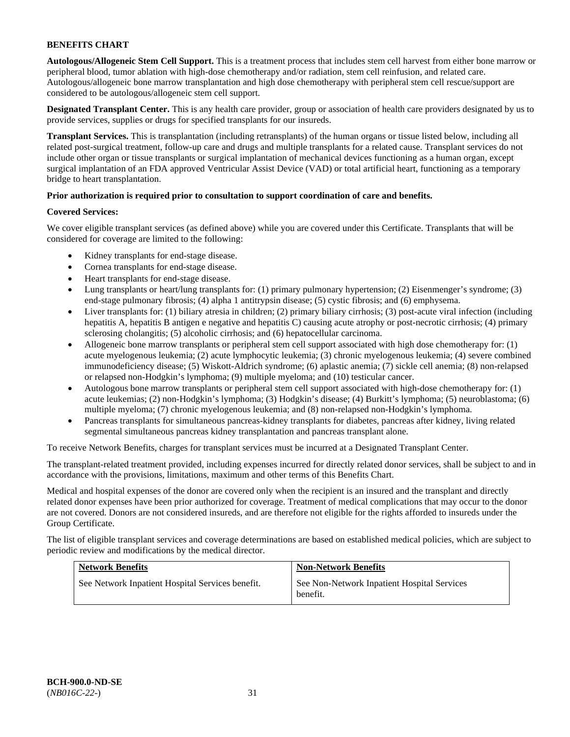**Autologous/Allogeneic Stem Cell Support.** This is a treatment process that includes stem cell harvest from either bone marrow or peripheral blood, tumor ablation with high-dose chemotherapy and/or radiation, stem cell reinfusion, and related care. Autologous/allogeneic bone marrow transplantation and high dose chemotherapy with peripheral stem cell rescue/support are considered to be autologous/allogeneic stem cell support.

**Designated Transplant Center.** This is any health care provider, group or association of health care providers designated by us to provide services, supplies or drugs for specified transplants for our insureds.

**Transplant Services.** This is transplantation (including retransplants) of the human organs or tissue listed below, including all related post-surgical treatment, follow-up care and drugs and multiple transplants for a related cause. Transplant services do not include other organ or tissue transplants or surgical implantation of mechanical devices functioning as a human organ, except surgical implantation of an FDA approved Ventricular Assist Device (VAD) or total artificial heart, functioning as a temporary bridge to heart transplantation.

# **Prior authorization is required prior to consultation to support coordination of care and benefits.**

# **Covered Services:**

We cover eligible transplant services (as defined above) while you are covered under this Certificate. Transplants that will be considered for coverage are limited to the following:

- Kidney transplants for end-stage disease.
- Cornea transplants for end-stage disease.
- Heart transplants for end-stage disease.
- Lung transplants or heart/lung transplants for: (1) primary pulmonary hypertension; (2) Eisenmenger's syndrome; (3) end-stage pulmonary fibrosis; (4) alpha 1 antitrypsin disease; (5) cystic fibrosis; and (6) emphysema.
- Liver transplants for: (1) biliary atresia in children; (2) primary biliary cirrhosis; (3) post-acute viral infection (including hepatitis A, hepatitis B antigen e negative and hepatitis C) causing acute atrophy or post-necrotic cirrhosis; (4) primary sclerosing cholangitis; (5) alcoholic cirrhosis; and (6) hepatocellular carcinoma.
- Allogeneic bone marrow transplants or peripheral stem cell support associated with high dose chemotherapy for: (1) acute myelogenous leukemia; (2) acute lymphocytic leukemia; (3) chronic myelogenous leukemia; (4) severe combined immunodeficiency disease; (5) Wiskott-Aldrich syndrome; (6) aplastic anemia; (7) sickle cell anemia; (8) non-relapsed or relapsed non-Hodgkin's lymphoma; (9) multiple myeloma; and (10) testicular cancer.
- Autologous bone marrow transplants or peripheral stem cell support associated with high-dose chemotherapy for: (1) acute leukemias; (2) non-Hodgkin's lymphoma; (3) Hodgkin's disease; (4) Burkitt's lymphoma; (5) neuroblastoma; (6) multiple myeloma; (7) chronic myelogenous leukemia; and (8) non-relapsed non-Hodgkin's lymphoma.
- Pancreas transplants for simultaneous pancreas-kidney transplants for diabetes, pancreas after kidney, living related segmental simultaneous pancreas kidney transplantation and pancreas transplant alone.

To receive Network Benefits, charges for transplant services must be incurred at a Designated Transplant Center.

The transplant-related treatment provided, including expenses incurred for directly related donor services, shall be subject to and in accordance with the provisions, limitations, maximum and other terms of this Benefits Chart.

Medical and hospital expenses of the donor are covered only when the recipient is an insured and the transplant and directly related donor expenses have been prior authorized for coverage. Treatment of medical complications that may occur to the donor are not covered. Donors are not considered insureds, and are therefore not eligible for the rights afforded to insureds under the Group Certificate.

The list of eligible transplant services and coverage determinations are based on established medical policies, which are subject to periodic review and modifications by the medical director.

| <b>Network Benefits</b>                          | <b>Non-Network Benefits</b>                             |
|--------------------------------------------------|---------------------------------------------------------|
| See Network Inpatient Hospital Services benefit. | See Non-Network Inpatient Hospital Services<br>benefit. |